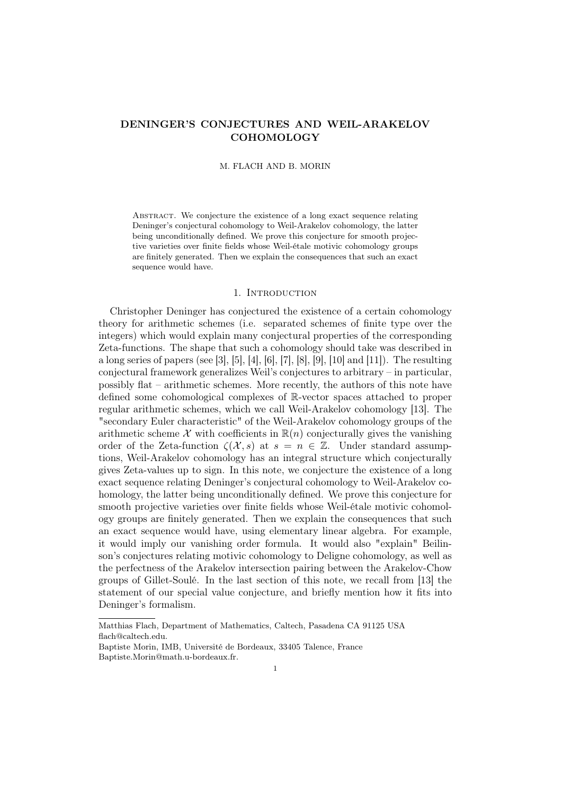# DENINGER'S CONJECTURES AND WEIL-ARAKELOV COHOMOLOGY

#### M. FLACH AND B. MORIN

ABSTRACT. We conjecture the existence of a long exact sequence relating Deninger's conjectural cohomology to Weil-Arakelov cohomology, the latter being unconditionally defined. We prove this conjecture for smooth projective varieties over finite fields whose Weil-étale motivic cohomology groups are finitely generated. Then we explain the consequences that such an exact sequence would have.

### 1. INTRODUCTION

Christopher Deninger has conjectured the existence of a certain cohomology theory for arithmetic schemes (i.e. separated schemes of finite type over the integers) which would explain many conjectural properties of the corresponding Zeta-functions. The shape that such a cohomology should take was described in a long series of papers (see [3], [5], [4], [6], [7], [8], [9], [10] and [11]). The resulting conjectural framework generalizes Weil's conjectures to arbitrary – in particular, possibly flat – arithmetic schemes. More recently, the authors of this note have defined some cohomological complexes of R-vector spaces attached to proper regular arithmetic schemes, which we call Weil-Arakelov cohomology [13]. The "secondary Euler characteristic" of the Weil-Arakelov cohomology groups of the arithmetic scheme X with coefficients in  $\mathbb{R}(n)$  conjecturally gives the vanishing order of the Zeta-function  $\zeta(\mathcal{X},s)$  at  $s = n \in \mathbb{Z}$ . Under standard assumptions, Weil-Arakelov cohomology has an integral structure which conjecturally gives Zeta-values up to sign. In this note, we conjecture the existence of a long exact sequence relating Deninger's conjectural cohomology to Weil-Arakelov cohomology, the latter being unconditionally defined. We prove this conjecture for smooth projective varieties over finite fields whose Weil-étale motivic cohomology groups are finitely generated. Then we explain the consequences that such an exact sequence would have, using elementary linear algebra. For example, it would imply our vanishing order formula. It would also "explain" Beilinson's conjectures relating motivic cohomology to Deligne cohomology, as well as the perfectness of the Arakelov intersection pairing between the Arakelov-Chow groups of Gillet-Soulé. In the last section of this note, we recall from [13] the statement of our special value conjecture, and briefly mention how it fits into Deninger's formalism.

Matthias Flach, Department of Mathematics, Caltech, Pasadena CA 91125 USA flach@caltech.edu.

Baptiste Morin, IMB, Université de Bordeaux, 33405 Talence, France Baptiste.Morin@math.u-bordeaux.fr.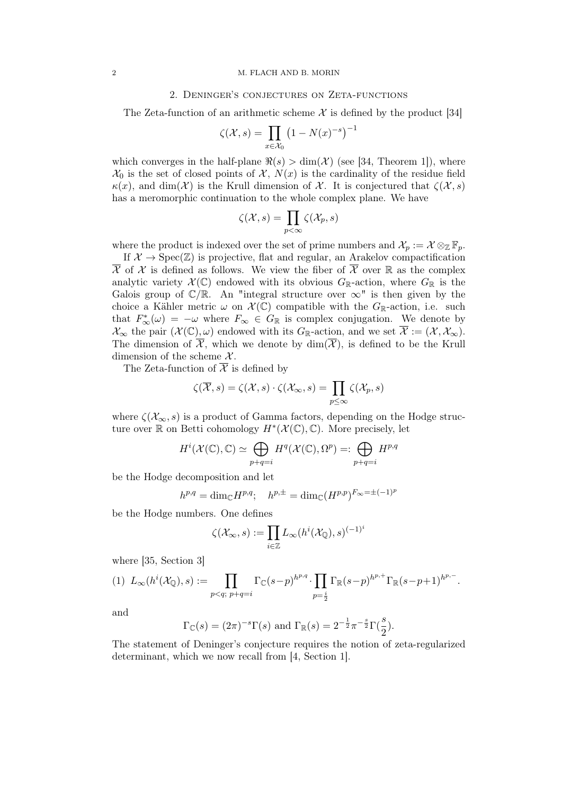#### 2 M. FLACH AND B. MORIN

#### 2. Deninger's conjectures on Zeta-functions

The Zeta-function of an arithmetic scheme  $\mathcal X$  is defined by the product [34]

$$
\zeta(\mathcal{X},s) = \prod_{x \in \mathcal{X}_0} \left(1 - N(x)^{-s}\right)^{-1}
$$

which converges in the half-plane  $\Re(s) > \dim(\mathcal{X})$  (see [34, Theorem 1]), where  $\mathcal{X}_0$  is the set of closed points of  $\mathcal{X}, N(x)$  is the cardinality of the residue field  $\kappa(x)$ , and dim(X) is the Krull dimension of X. It is conjectured that  $\zeta(\mathcal{X}, s)$ has a meromorphic continuation to the whole complex plane. We have

$$
\zeta(\mathcal{X},s) = \prod_{p<\infty} \zeta(\mathcal{X}_p,s)
$$

where the product is indexed over the set of prime numbers and  $\mathcal{X}_p := \mathcal{X} \otimes_{\mathbb{Z}} \mathbb{F}_p$ .

If  $\mathcal{X} \to \text{Spec}(\mathbb{Z})$  is projective, flat and regular, an Arakelov compactification  $\overline{\mathcal{X}}$  of  $\mathcal{X}$  is defined as follows. We view the fiber of  $\overline{\mathcal{X}}$  over  $\mathbb{R}$  as the complex analytic variety  $\mathcal{X}(\mathbb{C})$  endowed with its obvious  $G_{\mathbb{R}}$ -action, where  $G_{\mathbb{R}}$  is the Galois group of  $\mathbb{C}/\mathbb{R}$ . An "integral structure over  $\infty$ " is then given by the choice a Kähler metric  $\omega$  on  $\mathcal{X}(\mathbb{C})$  compatible with the  $G_{\mathbb{R}}$ -action, i.e. such that  $F_{\infty}^*(\omega) = -\omega$  where  $F_{\infty} \in G_{\mathbb{R}}$  is complex conjugation. We denote by  $\mathcal{X}_{\infty}$  the pair  $(\mathcal{X}(\mathbb{C}), \omega)$  endowed with its  $G_{\mathbb{R}}$ -action, and we set  $\overline{\mathcal{X}} := (\mathcal{X}, \mathcal{X}_{\infty})$ . The dimension of  $\overline{\mathcal{X}}$ , which we denote by  $\dim(\overline{\mathcal{X}})$ , is defined to be the Krull dimension of the scheme  $\mathcal{X}$ .

The Zeta-function of  $\overline{\mathcal{X}}$  is defined by

$$
\zeta(\overline{\mathcal{X}},s) = \zeta(\mathcal{X},s) \cdot \zeta(\mathcal{X}_{\infty},s) = \prod_{p \leq \infty} \zeta(\mathcal{X}_p,s)
$$

where  $\zeta(\mathcal{X}_{\infty},s)$  is a product of Gamma factors, depending on the Hodge structure over R on Betti cohomology  $H^*(\mathcal{X}(\mathbb{C}), \mathbb{C})$ . More precisely, let

$$
H^{i}(\mathcal{X}(\mathbb{C}), \mathbb{C}) \simeq \bigoplus_{p+q=i} H^{q}(\mathcal{X}(\mathbb{C}), \Omega^{p}) =: \bigoplus_{p+q=i} H^{p,q}
$$

be the Hodge decomposition and let

$$
h^{p,q} = \dim_{\mathbb{C}} H^{p,q}; \quad h^{p,\pm} = \dim_{\mathbb{C}} (H^{p,p})^{F_{\infty} = \pm (-1)^p}
$$

be the Hodge numbers. One defines

$$
\zeta(\mathcal{X}_{\infty},s) := \prod_{i\in\mathbb{Z}} L_{\infty}(h^i(\mathcal{X}_{\mathbb{Q}}),s)^{(-1)^i}
$$

where [35, Section 3]

$$
(1) \ L_{\infty}(h^{i}(\mathcal{X}_{\mathbb{Q}}), s) := \prod_{p < q; \ p + q = i} \Gamma_{\mathbb{C}}(s-p)^{h^{p,q}} \cdot \prod_{p = \frac{i}{2}} \Gamma_{\mathbb{R}}(s-p)^{h^{p,+}} \Gamma_{\mathbb{R}}(s-p+1)^{h^{p,-}}.
$$

and

$$
\Gamma_{\mathbb{C}}(s) = (2\pi)^{-s} \Gamma(s)
$$
 and 
$$
\Gamma_{\mathbb{R}}(s) = 2^{-\frac{1}{2}} \pi^{-\frac{s}{2}} \Gamma(\frac{s}{2}).
$$

The statement of Deninger's conjecture requires the notion of zeta-regularized determinant, which we now recall from [4, Section 1].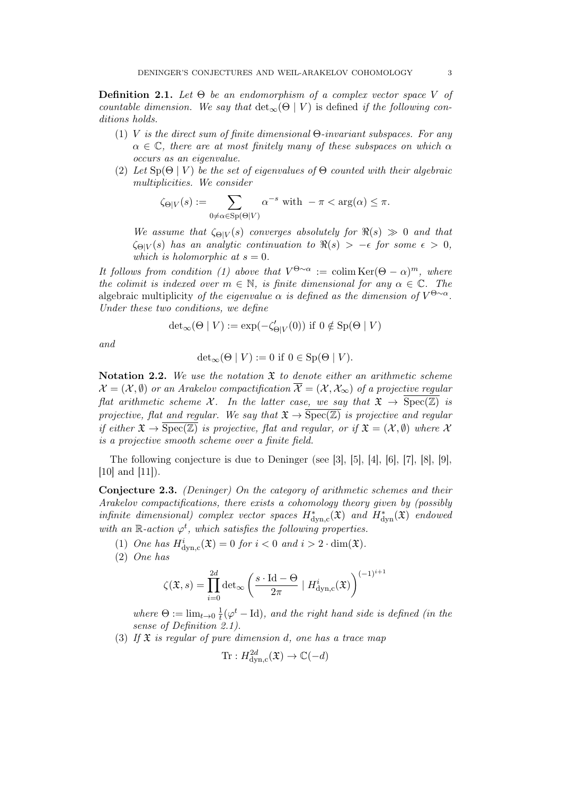**Definition 2.1.** Let  $\Theta$  be an endomorphism of a complex vector space V of countable dimension. We say that  $\det_{\infty}(\Theta | V)$  is defined if the following conditions holds.

- (1) V is the direct sum of finite dimensional  $\Theta$ -invariant subspaces. For any  $\alpha \in \mathbb{C}$ , there are at most finitely many of these subspaces on which  $\alpha$ occurs as an eigenvalue.
- (2) Let  $\text{Sp}(\Theta | V)$  be the set of eigenvalues of  $\Theta$  counted with their algebraic multiplicities. We consider

$$
\zeta_{\Theta|V}(s) := \sum_{0 \neq \alpha \in \text{Sp}(\Theta|V)} \alpha^{-s} \text{ with } -\pi < \arg(\alpha) \leq \pi.
$$

We assume that  $\zeta_{\Theta|V}(s)$  converges absolutely for  $\Re(s) \gg 0$  and that  $\zeta_{\Theta|V}(s)$  has an analytic continuation to  $\Re(s) > -\epsilon$  for some  $\epsilon > 0$ , which is holomorphic at  $s = 0$ .

It follows from condition (1) above that  $V^{\Theta \sim \alpha} := \text{colim} \text{Ker}(\Theta - \alpha)^m$ , where the colimit is indexed over  $m \in \mathbb{N}$ , is finite dimensional for any  $\alpha \in \mathbb{C}$ . The algebraic multiplicity of the eigenvalue  $\alpha$  is defined as the dimension of  $V^{\Theta \sim \alpha}$ . Under these two conditions, we define

$$
{\det}_\infty(\Theta \mid V) := \exp(-\zeta_{\Theta|V}'(0)) \text{ if } 0 \notin \operatorname{Sp}(\Theta \mid V)
$$

and

$$
\det_{\infty}(\Theta \mid V) := 0 \text{ if } 0 \in \text{Sp}(\Theta \mid V).
$$

Notation 2.2. We use the notation  $\mathfrak X$  to denote either an arithmetic scheme  $\mathcal{X} = (\mathcal{X}, \emptyset)$  or an Arakelov compactification  $\overline{\mathcal{X}} = (\mathcal{X}, \mathcal{X}_{\infty})$  of a projective regular flat arithmetic scheme X. In the latter case, we say that  $\mathfrak{X} \to \overline{\text{Spec}(\mathbb{Z})}$  is projective, flat and regular. We say that  $\mathfrak{X} \to \overline{\text{Spec}(\mathbb{Z})}$  is projective and regular if either  $\mathfrak{X} \to \overline{\text{Spec}(\mathbb{Z})}$  is projective, flat and regular, or if  $\mathfrak{X} = (\mathcal{X}, \emptyset)$  where X is a projective smooth scheme over a finite field.

The following conjecture is due to Deninger (see [3], [5], [4], [6], [7], [8], [9], [10] and [11]).

Conjecture 2.3. (Deninger) On the category of arithmetic schemes and their Arakelov compactifications, there exists a cohomology theory given by (possibly infinite dimensional) complex vector spaces  $H^*_{\text{dyn,c}}(\mathfrak{X})$  and  $H^*_{\text{dyn}}(\mathfrak{X})$  endowed with an R-action  $\varphi^t$ , which satisfies the following properties.

(1) One has  $H^i_{\text{dyn,c}}(\mathfrak{X}) = 0$  for  $i < 0$  and  $i > 2 \cdot \dim(\mathfrak{X})$ .

(2) One has

$$
\zeta(\mathfrak{X},s) = \prod_{i=0}^{2d} \det_{\infty} \left( \frac{s \cdot \mathrm{Id} - \Theta}{2\pi} \mid H^i_{\mathrm{dyn,c}}(\mathfrak{X}) \right)^{(-1)^{i+1}}
$$

where  $\Theta := \lim_{t \to 0} \frac{1}{t}$  $\frac{1}{t}(\varphi^t - \mathrm{Id})$ , and the right hand side is defined (in the sense of Definition 2.1).

(3) If  $\mathfrak X$  is regular of pure dimension d, one has a trace map

$$
\text{Tr}: H^{2d}_{\text{dyn,c}}(\mathfrak{X}) \to \mathbb{C}(-d)
$$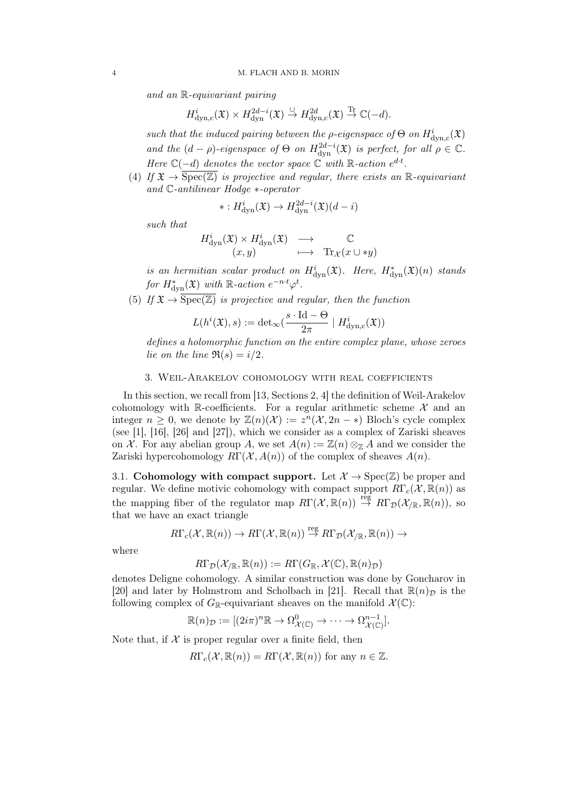and an R-equivariant pairing

$$
H^i_{\mathrm{dyn,c}}(\mathfrak{X}) \times H^{2d-i}_{\mathrm{dyn}}(\mathfrak{X}) \overset{\cup}{\to} H^{2d}_{\mathrm{dyn,c}}(\mathfrak{X}) \overset{\mathrm{Tr}}{\to} \mathbb{C}(-d).
$$

such that the induced pairing between the *ρ*-eigenspace of  $\Theta$  on  $H^i_{\text{dyn,c}}(\mathfrak{X})$ and the  $(d - \rho)$ -eigenspace of  $\Theta$  on  $H^{2d-i}_{dyn}(\mathfrak{X})$  is perfect, for all  $\rho \in \mathbb{C}$ . Here  $\mathbb{C}(-d)$  denotes the vector space  $\mathbb{C}$  with R-action  $e^{d \cdot t}$ .

(4) If  $\mathfrak{X} \to \overline{\text{Spec}(\mathbb{Z})}$  is projective and regular, there exists an R-equivariant and C-antilinear Hodge ∗-operator

$$
* : H^i_{\text{dyn}}(\mathfrak{X}) \to H^{2d-i}_{\text{dyn}}(\mathfrak{X})(d-i)
$$

such that

$$
H^i_{\text{dyn}}(\mathfrak{X}) \times H^i_{\text{dyn}}(\mathfrak{X}) \longrightarrow \mathbb{C}
$$
  
 $(x, y) \longrightarrow \text{Tr}_{\mathcal{X}}(x \cup *y)$ 

is an hermitian scalar product on  $H^i_{\text{dyn}}(\mathfrak{X})$ . Here,  $H^*_{\text{dyn}}(\mathfrak{X})(n)$  stands for  $H^*_{\text{dyn}}(\mathfrak{X})$  with  $\mathbb{R}\text{-action } e^{-n \cdot t} \varphi^t$ .

(5) If  $\mathfrak{X} \to \overline{\text{Spec}(\mathbb{Z})}$  is projective and regular, then the function

$$
L(h^{i}(\mathfrak{X}), s) := \det_{\infty}(\frac{s \cdot \mathrm{Id} - \Theta}{2\pi} \mid H_{\mathrm{dyn},c}^{i}(\mathfrak{X}))
$$

defines a holomorphic function on the entire complex plane, whose zeroes lie on the line  $\Re(s) = i/2$ .

# 3. Weil-Arakelov cohomology with real coefficients

In this section, we recall from [13, Sections 2, 4] the definition of Weil-Arakelov cohomology with R-coefficients. For a regular arithmetic scheme  $\mathcal{X}$  and an integer  $n \geq 0$ , we denote by  $\mathbb{Z}(n)(\mathcal{X}) := z^n(\mathcal{X}, 2n - \ast)$  Bloch's cycle complex (see [1], [16], [26] and [27]), which we consider as a complex of Zariski sheaves on X. For any abelian group A, we set  $A(n) := \mathbb{Z}(n) \otimes_{\mathbb{Z}} A$  and we consider the Zariski hypercohomology  $R\Gamma(\mathcal{X}, A(n))$  of the complex of sheaves  $A(n)$ .

3.1. Cohomology with compact support. Let  $\mathcal{X} \to \text{Spec}(\mathbb{Z})$  be proper and regular. We define motivic cohomology with compact support  $R\Gamma_c(\mathcal{X}, \mathbb{R}(n))$  as the mapping fiber of the regulator map  $R\Gamma(\mathcal{X}, \mathbb{R}(n)) \stackrel{\text{reg}}{\rightarrow} R\Gamma_{\mathcal{D}}(\mathcal{X}_{/\mathbb{R}}, \mathbb{R}(n)),$  so that we have an exact triangle

$$
R\Gamma_c(\mathcal{X},\mathbb{R}(n)) \to R\Gamma(\mathcal{X},\mathbb{R}(n)) \stackrel{\text{reg}}{\to} R\Gamma_{\mathcal{D}}(\mathcal{X}_{/\mathbb{R}},\mathbb{R}(n)) \to
$$

where

$$
R\Gamma_\mathcal{D}(\mathcal{X}_{/\mathbb{R}}, \mathbb{R}(n)) := R\Gamma(G_\mathbb{R}, \mathcal{X}(\mathbb{C}), \mathbb{R}(n)_\mathcal{D})
$$

denotes Deligne cohomology. A similar construction was done by Goncharov in [20] and later by Holmstrom and Scholbach in [21]. Recall that  $\mathbb{R}(n)_{\mathcal{D}}$  is the following complex of  $G_{\mathbb{R}}$ -equivariant sheaves on the manifold  $\mathcal{X}(\mathbb{C})$ :

$$
\mathbb{R}(n)_{\mathcal{D}} := [(2i\pi)^n \mathbb{R} \to \Omega_{\mathcal{X}(\mathbb{C})}^0 \to \cdots \to \Omega_{\mathcal{X}(\mathbb{C})}^{n-1}].
$$

Note that, if  $\mathcal X$  is proper regular over a finite field, then

$$
R\Gamma_c(\mathcal{X}, \mathbb{R}(n)) = R\Gamma(\mathcal{X}, \mathbb{R}(n))
$$
 for any  $n \in \mathbb{Z}$ .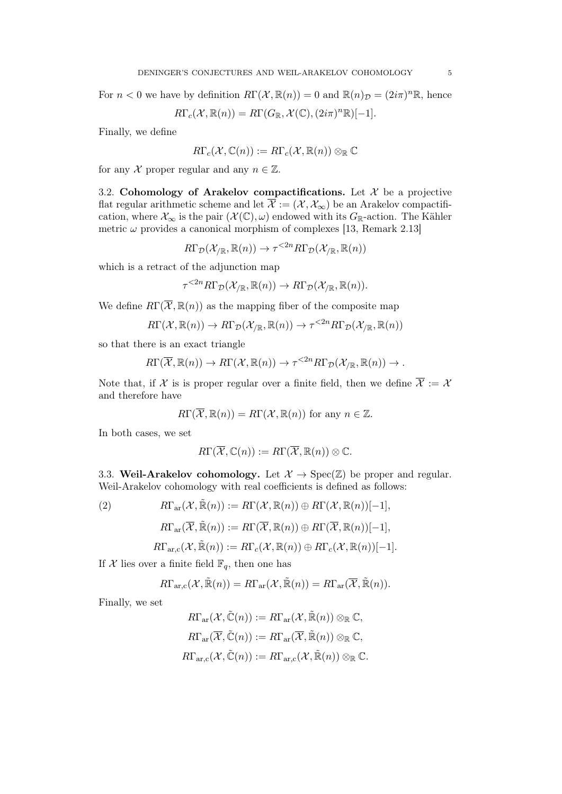For  $n < 0$  we have by definition  $R\Gamma(\mathcal{X}, \mathbb{R}(n)) = 0$  and  $\mathbb{R}(n)_{\mathcal{D}} = (2i\pi)^n \mathbb{R}$ , hence

$$
R\Gamma_c(\mathcal{X}, \mathbb{R}(n)) = R\Gamma(G_{\mathbb{R}}, \mathcal{X}(\mathbb{C}), (2i\pi)^n \mathbb{R})[-1].
$$

Finally, we define

$$
R\Gamma_c(\mathcal{X},\mathbb{C}(n)) := R\Gamma_c(\mathcal{X},\mathbb{R}(n)) \otimes_{\mathbb{R}} \mathbb{C}
$$

for any X proper regular and any  $n \in \mathbb{Z}$ .

3.2. Cohomology of Arakelov compactifications. Let  $\mathcal X$  be a projective flat regular arithmetic scheme and let  $\overline{\mathcal{X}} := (\mathcal{X}, \mathcal{X}_{\infty})$  be an Arakelov compactification, where  $\mathcal{X}_{\infty}$  is the pair  $(\mathcal{X}(\mathbb{C}), \omega)$  endowed with its  $G_{\mathbb{R}}$ -action. The Kähler metric  $\omega$  provides a canonical morphism of complexes [13, Remark 2.13]

$$
R\Gamma_{\mathcal{D}}(\mathcal{X}_{/\mathbb{R}}, \mathbb{R}(n)) \to \tau^{\leq 2n} R\Gamma_{\mathcal{D}}(\mathcal{X}_{/\mathbb{R}}, \mathbb{R}(n))
$$

which is a retract of the adjunction map

$$
\tau^{<2n} R\Gamma_{\mathcal{D}}(\mathcal{X}_{/\mathbb{R}}, \mathbb{R}(n)) \to R\Gamma_{\mathcal{D}}(\mathcal{X}_{/\mathbb{R}}, \mathbb{R}(n)).
$$

We define  $R\Gamma(\overline{\mathcal{X}}, \mathbb{R}(n))$  as the mapping fiber of the composite map

$$
R\Gamma(\mathcal{X},\mathbb{R}(n)) \to R\Gamma_{\mathcal{D}}(\mathcal{X}_{/\mathbb{R}},\mathbb{R}(n)) \to \tau^{\leq 2n} R\Gamma_{\mathcal{D}}(\mathcal{X}_{/\mathbb{R}},\mathbb{R}(n))
$$

so that there is an exact triangle

$$
R\Gamma(\overline{\mathcal{X}},\mathbb{R}(n)) \to R\Gamma(\mathcal{X},\mathbb{R}(n)) \to \tau^{<2n} R\Gamma_{\mathcal{D}}(\mathcal{X}_{/\mathbb{R}},\mathbb{R}(n)) \to.
$$

Note that, if X is is proper regular over a finite field, then we define  $\overline{\mathcal{X}} := \mathcal{X}$ and therefore have

$$
R\Gamma(\overline{\mathcal{X}},\mathbb{R}(n)) = R\Gamma(\mathcal{X},\mathbb{R}(n))
$$
 for any  $n \in \mathbb{Z}$ .

In both cases, we set

$$
R\Gamma(\overline{\mathcal{X}},\mathbb{C}(n)) := R\Gamma(\overline{\mathcal{X}},\mathbb{R}(n)) \otimes \mathbb{C}.
$$

3.3. Weil-Arakelov cohomology. Let  $\mathcal{X} \to \text{Spec}(\mathbb{Z})$  be proper and regular. Weil-Arakelov cohomology with real coefficients is defined as follows:

(2) 
$$
R\Gamma_{\text{ar}}(\mathcal{X},\tilde{\mathbb{R}}(n)) := R\Gamma(\mathcal{X},\mathbb{R}(n)) \oplus R\Gamma(\mathcal{X},\mathbb{R}(n))[-1],
$$

$$
R\Gamma_{\mathrm{ar}}(\overline{\mathcal{X}},\tilde{\mathbb{R}}(n)):=R\Gamma(\overline{\mathcal{X}},\mathbb{R}(n))\oplus R\Gamma(\overline{\mathcal{X}},\mathbb{R}(n))[-1],
$$

$$
R\Gamma_{\text{ar},\text{c}}(\mathcal{X},\tilde{\mathbb{R}}(n)) := R\Gamma_c(\mathcal{X},\mathbb{R}(n)) \oplus R\Gamma_c(\mathcal{X},\mathbb{R}(n))[-1].
$$

If X lies over a finite field  $\mathbb{F}_q$ , then one has

$$
R\Gamma_{\text{ar},c}(\mathcal{X},\tilde{\mathbb{R}}(n))=R\Gamma_{\text{ar}}(\mathcal{X},\tilde{\mathbb{R}}(n))=R\Gamma_{\text{ar}}(\overline{\mathcal{X}},\tilde{\mathbb{R}}(n)).
$$

Finally, we set

$$
R\Gamma_{\text{ar}}(\mathcal{X}, \tilde{\mathbb{C}}(n)) := R\Gamma_{\text{ar}}(\mathcal{X}, \tilde{\mathbb{R}}(n)) \otimes_{\mathbb{R}} \mathbb{C},
$$
  

$$
R\Gamma_{\text{ar}}(\overline{\mathcal{X}}, \tilde{\mathbb{C}}(n)) := R\Gamma_{\text{ar}}(\overline{\mathcal{X}}, \tilde{\mathbb{R}}(n)) \otimes_{\mathbb{R}} \mathbb{C},
$$
  

$$
R\Gamma_{\text{ar},c}(\mathcal{X}, \tilde{\mathbb{C}}(n)) := R\Gamma_{\text{ar},c}(\mathcal{X}, \tilde{\mathbb{R}}(n)) \otimes_{\mathbb{R}} \mathbb{C}.
$$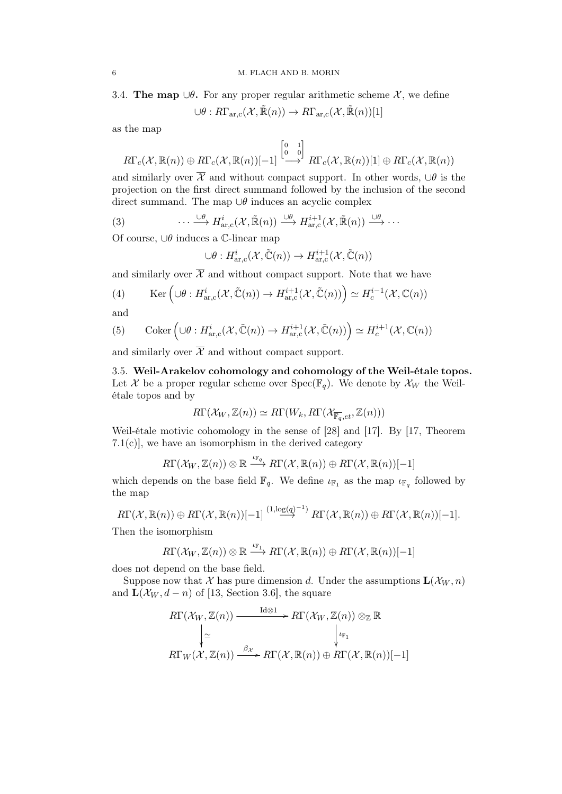3.4. The map  $\cup \theta$ . For any proper regular arithmetic scheme X, we define

$$
\cup \theta:R\Gamma_{\text{ar},\text{c}}(\mathcal{X},\tilde{\mathbb{R}}(n))\rightarrow R\Gamma_{\text{ar},\text{c}}(\mathcal{X},\tilde{\mathbb{R}}(n))[1]
$$

as the map

$$
R\Gamma_c(\mathcal{X},\mathbb{R}(n))\oplus R\Gamma_c(\mathcal{X},\mathbb{R}(n))[-1] \stackrel{\begin{bmatrix}0 & 1 \\ 0 & 0\end{bmatrix}}{\longrightarrow} R\Gamma_c(\mathcal{X},\mathbb{R}(n))[1]\oplus R\Gamma_c(\mathcal{X},\mathbb{R}(n))
$$

and similarly over  $\overline{\mathcal{X}}$  and without compact support. In other words,  $\cup \theta$  is the projection on the first direct summand followed by the inclusion of the second direct summand. The map  $\cup \theta$  induces an acyclic complex

(3) 
$$
\cdots \xrightarrow{\cup \theta} H_{\mathrm{ar},c}^i(\mathcal{X}, \tilde{\mathbb{R}}(n)) \xrightarrow{\cup \theta} H_{\mathrm{ar},c}^{i+1}(\mathcal{X}, \tilde{\mathbb{R}}(n)) \xrightarrow{\cup \theta} \cdots
$$

Of course, ∪θ induces a C-linear map

$$
\cup \theta: H^i_{\text{ar},c}(\mathcal{X}, \tilde{\mathbb{C}}(n)) \to H^{i+1}_{\text{ar},c}(\mathcal{X}, \tilde{\mathbb{C}}(n))
$$

and similarly over  $\overline{\mathcal{X}}$  and without compact support. Note that we have

(4) 
$$
\text{Ker}\left(\cup \theta: H^i_{\text{ar,c}}(\mathcal{X}, \tilde{\mathbb{C}}(n)) \to H^{i+1}_{\text{ar,c}}(\mathcal{X}, \tilde{\mathbb{C}}(n))\right) \simeq H^{i-1}_c(\mathcal{X}, \mathbb{C}(n))
$$

and

(5) Coker 
$$
\left(\cup \theta : H^i_{\text{ar},c}(\mathcal{X}, \tilde{\mathbb{C}}(n)) \to H^{i+1}_{\text{ar},c}(\mathcal{X}, \tilde{\mathbb{C}}(n))\right) \simeq H^{i+1}_c(\mathcal{X}, \mathbb{C}(n))
$$

and similarly over  $\overline{\mathcal{X}}$  and without compact support.

3.5. Weil-Arakelov cohomology and cohomology of the Weil-étale topos. Let X be a proper regular scheme over  $Spec(\mathbb{F}_q)$ . We denote by  $\mathcal{X}_W$  the Weilétale topos and by

$$
R\Gamma(\mathcal{X}_W,\mathbb{Z}(n))\simeq R\Gamma(W_k,R\Gamma(\mathcal{X}_{\overline{\mathbb{F}_q},et},\mathbb{Z}(n)))
$$

Weil-étale motivic cohomology in the sense of [28] and [17]. By [17, Theorem  $7.1(c)$ , we have an isomorphism in the derived category

$$
R\Gamma(\mathcal{X}_W,\mathbb{Z}(n))\otimes\mathbb{R}\stackrel{\iota_{\mathbb{F}_q}}{\longrightarrow} R\Gamma(\mathcal{X},\mathbb{R}(n))\oplus R\Gamma(\mathcal{X},\mathbb{R}(n))[-1]
$$

which depends on the base field  $\mathbb{F}_q$ . We define  $\iota_{\mathbb{F}_1}$  as the map  $\iota_{\mathbb{F}_q}$  followed by the map

$$
R\Gamma(\mathcal{X},\mathbb{R}(n))\oplus R\Gamma(\mathcal{X},\mathbb{R}(n))[-1] \stackrel{(1,\log(q)^{-1})}{\longrightarrow} R\Gamma(\mathcal{X},\mathbb{R}(n))\oplus R\Gamma(\mathcal{X},\mathbb{R}(n))[-1].
$$

Then the isomorphism

$$
R\Gamma(\mathcal{X}_W,\mathbb{Z}(n))\otimes\mathbb{R}\stackrel{\iota_{\mathbb{F}_1}}{\longrightarrow} R\Gamma(\mathcal{X},\mathbb{R}(n))\oplus R\Gamma(\mathcal{X},\mathbb{R}(n))[-1]
$$

does not depend on the base field.

Suppose now that X has pure dimension d. Under the assumptions  $\mathbf{L}(\mathcal{X}_W, n)$ and  $\mathbf{L}(\mathcal{X}_W, d-n)$  of [13, Section 3.6], the square

Id⊗1

$$
R\Gamma(\mathcal{X}_W, \mathbb{Z}(n)) \xrightarrow{\mathrm{Id}\otimes 1} R\Gamma(\mathcal{X}_W, \mathbb{Z}(n)) \otimes_{\mathbb{Z}} \mathbb{R}
$$

$$
\downarrow \simeq \qquad \qquad \downarrow \qquad \qquad \downarrow \qquad \qquad \downarrow \qquad \qquad \downarrow \qquad \downarrow \qquad \downarrow \qquad \downarrow \qquad \downarrow \qquad \downarrow \qquad \downarrow \qquad \downarrow \qquad \downarrow \qquad \downarrow \qquad \downarrow \qquad \downarrow \qquad \downarrow \qquad \downarrow \qquad \downarrow \qquad \downarrow \qquad \downarrow \qquad \downarrow \qquad \downarrow \qquad \downarrow \qquad \downarrow \qquad \downarrow \qquad \downarrow \qquad \downarrow \qquad \downarrow \qquad \downarrow \qquad \downarrow \qquad \downarrow \qquad \downarrow \qquad \downarrow \qquad \downarrow \qquad \downarrow \qquad \downarrow \qquad \downarrow \qquad \downarrow \qquad \downarrow \qquad \downarrow \qquad \downarrow \qquad \downarrow \qquad \downarrow \qquad \downarrow \qquad \downarrow \qquad \downarrow \qquad \downarrow \qquad \downarrow \qquad \downarrow \qquad \downarrow \qquad \downarrow \qquad \downarrow \qquad \downarrow \qquad \downarrow \qquad \downarrow \qquad \downarrow \qquad \downarrow \qquad \downarrow \qquad \downarrow \qquad \downarrow \qquad \downarrow \qquad \downarrow \qquad \downarrow \qquad \downarrow \qquad \downarrow \qquad \downarrow \qquad \downarrow \qquad \downarrow \qquad \downarrow \qquad \downarrow \qquad \downarrow \qquad \downarrow \qquad \downarrow \qquad \downarrow \qquad \downarrow \qquad \downarrow \qquad \downarrow \qquad \downarrow \qquad \downarrow \qquad \downarrow \qquad \downarrow \qquad \downarrow \qquad \downarrow \qquad \downarrow \qquad \downarrow \qquad \downarrow \qquad \downarrow \qquad \downarrow \qquad \downarrow \qquad \downarrow \qquad \downarrow \qquad \downarrow \qquad \downarrow \qquad \downarrow \qquad \downarrow \qquad \downarrow \qquad \downarrow \qquad \downarrow \qquad \downarrow \qquad \downarrow \qquad \downarrow \qquad \downarrow \qquad \downarrow \qquad \downarrow \qquad \downarrow \qquad \downarrow \qquad \downarrow \qquad \downarrow \qquad \downarrow \qquad \downarrow \qquad \downarrow \
$$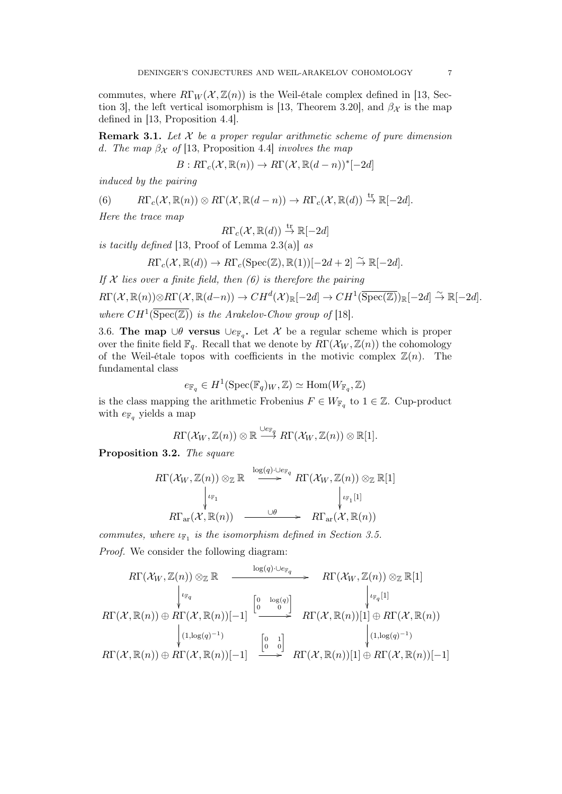commutes, where  $R\Gamma_W(\mathcal{X}, \mathbb{Z}(n))$  is the Weil-étale complex defined in [13, Section 3], the left vertical isomorphism is [13, Theorem 3.20], and  $\beta_{\mathcal{X}}$  is the map defined in [13, Proposition 4.4].

**Remark 3.1.** Let  $\mathcal{X}$  be a proper regular arithmetic scheme of pure dimension d. The map  $\beta_{\mathcal{X}}$  of [13, Proposition 4.4] involves the map

$$
B: R\Gamma_c(\mathcal{X}, \mathbb{R}(n)) \to R\Gamma(\mathcal{X}, \mathbb{R}(d-n))^*[-2d]
$$

induced by the pairing

(6) 
$$
R\Gamma_c(\mathcal{X},\mathbb{R}(n)) \otimes R\Gamma(\mathcal{X},\mathbb{R}(d-n)) \to R\Gamma_c(\mathcal{X},\mathbb{R}(d)) \stackrel{\text{tr}}{\to} \mathbb{R}[-2d].
$$

Here the trace map

$$
R\Gamma_c(\mathcal{X}, \mathbb{R}(d)) \stackrel{\text{tr}}{\rightarrow} \mathbb{R}[-2d]
$$

is tacitly defined [13, Proof of Lemma 2.3(a)] as

$$
R\Gamma_c(\mathcal{X}, \mathbb{R}(d)) \to R\Gamma_c(\mathrm{Spec}(\mathbb{Z}), \mathbb{R}(1))[-2d+2] \stackrel{\sim}{\to} \mathbb{R}[-2d].
$$

If  $X$  lies over a finite field, then (6) is therefore the pairing

 $R\Gamma(\mathcal{X}, \mathbb{R}(n)) \otimes R\Gamma(\mathcal{X}, \mathbb{R}(d-n)) \to CH^d(\mathcal{X})_{\mathbb{R}}[-2d] \to CH^1(\overline{\mathrm{Spec}(\mathbb{Z})})_{\mathbb{R}}[-2d] \stackrel{\sim}{\to} \mathbb{R}[-2d].$ where  $CH^1(\overline{\text{Spec}(\mathbb{Z})})$  is the Arakelov-Chow group of [18].

3.6. The map ∪ $\theta$  versus ∪e<sub>Fq</sub>. Let X be a regular scheme which is proper over the finite field  $\mathbb{F}_q$ . Recall that we denote by  $R\Gamma(\mathcal{X}_W,\mathbb{Z}(n))$  the cohomology of the Weil-étale topos with coefficients in the motivic complex  $\mathbb{Z}(n)$ . The fundamental class

$$
e_{\mathbb{F}_q} \in H^1(\text{Spec}(\mathbb{F}_q)_W, \mathbb{Z}) \simeq \text{Hom}(W_{\mathbb{F}_q}, \mathbb{Z})
$$

is the class mapping the arithmetic Frobenius  $F \in W_{\mathbb{F}_q}$  to  $1 \in \mathbb{Z}$ . Cup-product with  $e_{\mathbb{F}_q}$  yields a map

$$
R\Gamma(\mathcal{X}_W,\mathbb{Z}(n))\otimes \mathbb{R} \stackrel{\cup e_{\mathbb{F}_q}}{\longrightarrow} R\Gamma(\mathcal{X}_W,\mathbb{Z}(n))\otimes \mathbb{R}[1].
$$

Proposition 3.2. The square

$$
R\Gamma(\mathcal{X}_W, \mathbb{Z}(n)) \otimes_{\mathbb{Z}} \mathbb{R} \xrightarrow{\log(q) \cdot \bigcup_{e_{\mathbb{F}_q}} R\Gamma(\mathcal{X}_W, \mathbb{Z}(n)) \otimes_{\mathbb{Z}} \mathbb{R}[1] \atop \downarrow \downarrow_{\mathbb{F}_1}[1] \atop R\Gamma_{\text{ar}}(\mathcal{X}, \mathbb{R}(n)) \xrightarrow{\cup \theta} R\Gamma_{\text{ar}}(\mathcal{X}, \mathbb{R}(n))
$$

commutes, where  $\iota_{\mathbb{F}_1}$  is the isomorphism defined in Section 3.5.

Proof. We consider the following diagram:

$$
R\Gamma(\mathcal{X}_W, \mathbb{Z}(n)) \otimes_{\mathbb{Z}} \mathbb{R} \xrightarrow{\log(q) \cdot \bigcup_{e_{\mathbb{F}_q}}} R\Gamma(\mathcal{X}_W, \mathbb{Z}(n)) \otimes_{\mathbb{Z}} \mathbb{R}[1]
$$
\n
$$
R\Gamma(\mathcal{X}, \mathbb{R}(n)) \oplus R\Gamma(\mathcal{X}, \mathbb{R}(n))[-1] \xrightarrow{\begin{bmatrix} 0 & \log(q) \\ 0 & 0 \end{bmatrix}} R\Gamma(\mathcal{X}, \mathbb{R}(n))[1] \oplus R\Gamma(\mathcal{X}, \mathbb{R}(n))
$$
\n
$$
\downarrow^{(1, \log(q)^{-1})} \qquad \qquad \downarrow^{(0, 1)} \qquad \qquad \downarrow^{(1, \log(q)^{-1})} \qquad \qquad \downarrow^{(1, \log(q)^{-1})} \qquad \qquad \downarrow^{(1, \log(q)^{-1})} \qquad \qquad \downarrow^{(1, \log(q)^{-1})} \qquad \qquad \downarrow^{(1, \log(q)^{-1})} \qquad \qquad \downarrow^{(1, \log(q)^{-1})} \qquad \qquad \downarrow^{(1, \log(q)^{-1})} \qquad \qquad \downarrow^{(1, \log(q)^{-1})} \qquad \qquad \downarrow^{(1, \log(q)^{-1})} \qquad \qquad \downarrow^{(1, \log(q)^{-1})} \qquad \qquad \downarrow^{(1, \log(q)^{-1})} \qquad \qquad \downarrow^{(1, \log(q)^{-1})} \qquad \qquad \downarrow^{(1, \log(q)^{-1})} \qquad \qquad \downarrow^{(1, \log(q)^{-1})} \qquad \qquad \downarrow^{(1, \log(q)^{-1})} \qquad \qquad \downarrow^{(1, \log(q)^{-1})} \qquad \qquad \downarrow^{(1, \log(q)^{-1})} \qquad \qquad \downarrow^{(1, \log(q)^{-1})} \qquad \qquad \downarrow^{(1, \log(q)^{-1})} \qquad \qquad \downarrow^{(1, \log(q)^{-1})} \qquad \qquad \downarrow^{(1, \log(q)^{-1})} \qquad \qquad \downarrow^{(1, \log(q)^{-1})} \qquad \qquad \downarrow^{(1, \log(q)^{-1})} \qquad \qquad \downarrow^{(1, \log(q)^{-1})} \qquad \
$$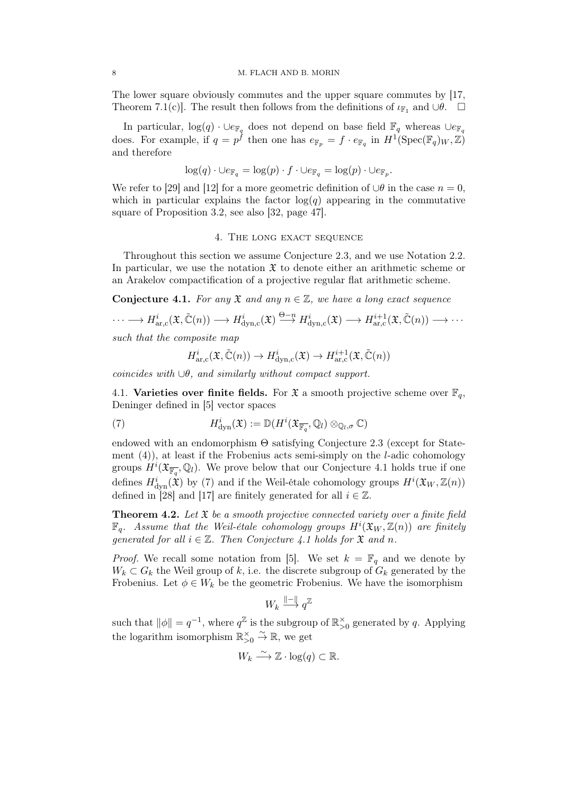The lower square obviously commutes and the upper square commutes by [17, Theorem 7.1(c)]. The result then follows from the definitions of  $\iota_{\mathbb{F}_1}$  and ∪ $\theta$ .  $\Box$ 

In particular,  $\log(q) \cdot \cup_{e_{\mathbb{F}_q}}$  does not depend on base field  $\mathbb{F}_q$  whereas  $\cup_{e_{\mathbb{F}_q}}$ does. For example, if  $q = p^{\hat{f}}$  then one has  $e_{\mathbb{F}_p} = f \cdot e_{\mathbb{F}_q}$  in  $H^1(\text{Spec}(\mathbb{F}_q)_W, \mathbb{Z})$ and therefore

$$
\log(q) \cdot \cup e_{\mathbb{F}_q} = \log(p) \cdot f \cdot \cup e_{\mathbb{F}_q} = \log(p) \cdot \cup e_{\mathbb{F}_p}.
$$

We refer to [29] and [12] for a more geometric definition of  $\cup \theta$  in the case  $n = 0$ , which in particular explains the factor  $log(q)$  appearing in the commutative square of Proposition 3.2, see also [32, page 47].

### 4. THE LONG EXACT SEQUENCE

Throughout this section we assume Conjecture 2.3, and we use Notation 2.2. In particular, we use the notation  $\mathfrak X$  to denote either an arithmetic scheme or an Arakelov compactification of a projective regular flat arithmetic scheme.

**Conjecture 4.1.** For any  $\mathfrak{X}$  and any  $n \in \mathbb{Z}$ , we have a long exact sequence

$$
\cdots \longrightarrow H^i_{\text{ar},c}(\mathfrak{X}, \tilde{\mathbb{C}}(n)) \longrightarrow H^i_{\text{dyn},c}(\mathfrak{X}) \stackrel{\Theta - n}{\longrightarrow} H^i_{\text{dyn},c}(\mathfrak{X}) \longrightarrow H^{i+1}_{\text{ar},c}(\mathfrak{X}, \tilde{\mathbb{C}}(n)) \longrightarrow \cdots
$$
  
such that the composite map

$$
\overline{z} = \overline{z}
$$

$$
H^i_{\text{ar},\text{c}}(\mathfrak{X},\tilde{\mathbb{C}}(n))\to H^i_{\text{dyn},\text{c}}(\mathfrak{X})\to H^{i+1}_{\text{ar},\text{c}}(\mathfrak{X},\tilde{\mathbb{C}}(n))
$$

coincides with  $\cup \theta$ , and similarly without compact support.

4.1. Varieties over finite fields. For  $\mathfrak{X}$  a smooth projective scheme over  $\mathbb{F}_q$ , Deninger defined in [5] vector spaces

(7) 
$$
H^i_{\text{dyn}}(\mathfrak{X}) := \mathbb{D}(H^i(\mathfrak{X}_{\overline{\mathbb{F}_q}},\mathbb{Q}_l) \otimes_{\mathbb{Q}_l,\sigma} \mathbb{C})
$$

endowed with an endomorphism  $\Theta$  satisfying Conjecture 2.3 (except for Statement  $(4)$ ), at least if the Frobenius acts semi-simply on the *l*-adic cohomology groups  $H^i(\mathfrak{X}_{\overline{\mathbb{F}_q}},\mathbb{Q}_l)$ . We prove below that our Conjecture 4.1 holds true if one defines  $H^i_{\text{dyn}}(\hat{\mathfrak{X}})$  by (7) and if the Weil-étale cohomology groups  $H^i(\mathfrak{X}_W, \mathbb{Z}(n))$ defined in [28] and [17] are finitely generated for all  $i \in \mathbb{Z}$ .

**Theorem 4.2.** Let  $\mathfrak{X}$  be a smooth projective connected variety over a finite field  $\mathbb{F}_q$ . Assume that the Weil-étale cohomology groups  $H^i(\mathfrak{X}_W, \mathbb{Z}(n))$  are finitely generated for all  $i \in \mathbb{Z}$ . Then Conjecture 4.1 holds for  $\mathfrak{X}$  and n.

*Proof.* We recall some notation from [5]. We set  $k = \mathbb{F}_q$  and we denote by  $W_k \subset G_k$  the Weil group of k, i.e. the discrete subgroup of  $G_k$  generated by the Frobenius. Let  $\phi \in W_k$  be the geometric Frobenius. We have the isomorphism

$$
W_k \stackrel{\|\mathbf{-}\|}{\longrightarrow} q^{\mathbb{Z}}
$$

such that  $\|\phi\| = q^{-1}$ , where  $q^{\mathbb{Z}}$  is the subgroup of  $\mathbb{R}_{>0}^{\times}$  generated by q. Applying the logarithm isomorphism  $\mathbb{R}_{>0}^{\times} \overset{\sim}{\to} \mathbb{R}$ , we get

$$
W_k \xrightarrow{\sim} \mathbb{Z} \cdot \log(q) \subset \mathbb{R}.
$$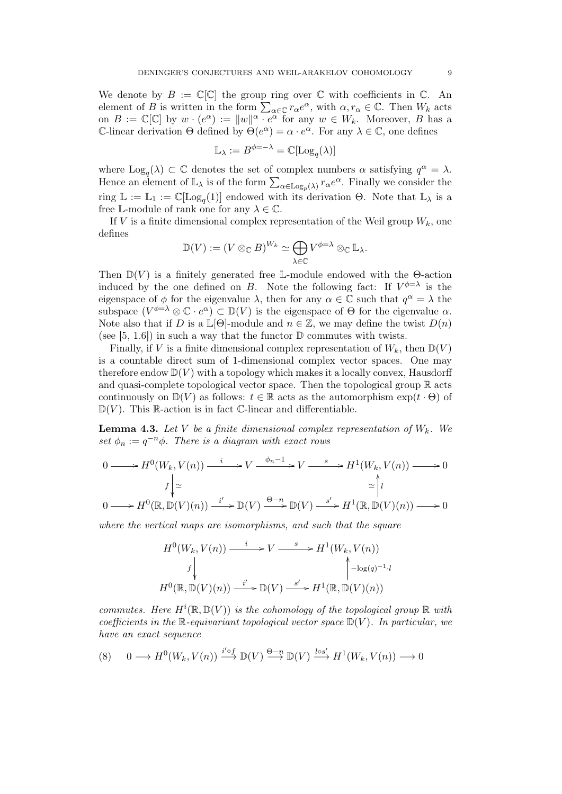We denote by  $B := \mathbb{C}[\mathbb{C}]$  the group ring over  $\mathbb C$  with coefficients in  $\mathbb C$ . An element of B is written in the form  $\sum_{\alpha \in \mathbb{C}} r_{\alpha} e^{\alpha}$ , with  $\alpha, r_{\alpha} \in \mathbb{C}$ . Then  $W_k$  acts on  $B := \mathbb{C}[\mathbb{C}]$  by  $w \cdot (e^{\alpha}) := ||w||^{\alpha} \cdot e^{\alpha}$  for any  $w \in W_k$ . Moreover, B has a C-linear derivation  $\Theta$  defined by  $\Theta(e^{\alpha}) = \alpha \cdot e^{\alpha}$ . For any  $\lambda \in \mathbb{C}$ , one defines

$$
\mathbb{L}_{\lambda} := B^{\phi = -\lambda} = \mathbb{C}[\mathrm{Log}_q(\lambda)]
$$

where  $\text{Log}_q(\lambda) \subset \mathbb{C}$  denotes the set of complex numbers  $\alpha$  satisfying  $q^{\alpha} = \lambda$ . Hence an element of  $\mathbb{L}_{\lambda}$  is of the form  $\sum_{\alpha \in \text{Log}_p(\lambda)} r_{\alpha} e^{\alpha}$ . Finally we consider the ring  $\mathbb{L} := \mathbb{L}_1 := \mathbb{C}[\text{Log}_q(1)]$  endowed with its derivation  $\Theta$ . Note that  $\mathbb{L}_{\lambda}$  is a free L-module of rank one for any  $\lambda \in \mathbb{C}$ .

If V is a finite dimensional complex representation of the Weil group  $W_k$ , one defines

$$
\mathbb{D}(V) := (V \otimes_{\mathbb{C}} B)^{W_k} \simeq \bigoplus_{\lambda \in \mathbb{C}} V^{\phi = \lambda} \otimes_{\mathbb{C}} \mathbb{L}_{\lambda}.
$$

Then  $\mathbb{D}(V)$  is a finitely generated free L-module endowed with the  $\Theta$ -action induced by the one defined on B. Note the following fact: If  $V^{\phi=\lambda}$  is the eigenspace of  $\phi$  for the eigenvalue  $\lambda$ , then for any  $\alpha \in \mathbb{C}$  such that  $q^{\alpha} = \lambda$  the subspace  $(V^{\phi=\lambda} \otimes \mathbb{C} \cdot e^{\alpha}) \subset \mathbb{D}(V)$  is the eigenspace of  $\Theta$  for the eigenvalue  $\alpha$ . Note also that if D is a  $\mathbb{L}[\Theta]$ -module and  $n \in \mathbb{Z}$ , we may define the twist  $D(n)$ (see [5, 1.6]) in such a way that the functor  $\mathbb D$  commutes with twists.

Finally, if V is a finite dimensional complex representation of  $W_k$ , then  $\mathbb{D}(V)$ is a countable direct sum of 1-dimensional complex vector spaces. One may therefore endow  $\mathbb{D}(V)$  with a topology which makes it a locally convex, Hausdorff and quasi-complete topological vector space. Then the topological group  $\mathbb R$  acts continuously on  $\mathbb{D}(V)$  as follows:  $t \in \mathbb{R}$  acts as the automorphism  $\exp(t \cdot \Theta)$  of  $\mathbb{D}(V)$ . This R-action is in fact C-linear and differentiable.

**Lemma 4.3.** Let V be a finite dimensional complex representation of  $W_k$ . We set  $\phi_n := q^{-n} \phi$ . There is a diagram with exact rows

$$
0 \longrightarrow H^{0}(W_{k}, V(n)) \xrightarrow{i} V \xrightarrow{\phi_{n}-1} V \xrightarrow{s} H^{1}(W_{k}, V(n)) \longrightarrow 0
$$
  

$$
f \downarrow_{\simeq} \qquad \qquad f \downarrow_{\simeq} \qquad \qquad \simeq \uparrow_{l}
$$
  

$$
0 \longrightarrow H^{0}(\mathbb{R}, \mathbb{D}(V)(n)) \xrightarrow{i'} \mathbb{D}(V) \xrightarrow{\Theta-n} \mathbb{D}(V) \xrightarrow{s'} H^{1}(\mathbb{R}, \mathbb{D}(V)(n)) \longrightarrow 0
$$

where the vertical maps are isomorphisms, and such that the square

$$
H^{0}(W_{k}, V(n)) \xrightarrow{i} V \xrightarrow{s} H^{1}(W_{k}, V(n))
$$
  
\n
$$
f \downarrow \qquad \qquad f \downarrow \qquad \qquad f \downarrow \qquad \qquad f \downarrow \qquad \qquad f \downarrow \qquad \qquad f \downarrow \qquad \qquad f \downarrow \qquad \qquad f \downarrow \qquad \qquad f \downarrow \qquad \qquad f \downarrow \qquad \qquad f \downarrow \qquad \qquad f \downarrow \qquad \qquad f \downarrow \qquad \qquad f \downarrow \qquad \qquad f \downarrow \qquad \qquad f \downarrow \qquad \qquad f \downarrow \qquad \qquad f \downarrow \qquad \qquad f \downarrow \qquad \qquad f \downarrow \qquad \qquad f \downarrow \qquad \qquad f \downarrow \qquad \qquad f \downarrow \qquad \qquad f \downarrow \qquad \qquad f \downarrow \qquad \qquad f \downarrow \qquad \qquad f \downarrow \qquad \qquad f \downarrow \qquad \qquad f \downarrow \qquad \qquad f \downarrow \qquad \qquad f \downarrow \qquad \qquad f \downarrow \qquad \qquad f \downarrow \qquad \qquad f \downarrow \qquad \qquad f \downarrow \qquad \qquad f \downarrow \qquad \qquad f \downarrow \qquad \qquad f \downarrow \qquad \qquad f \downarrow \qquad \qquad f \downarrow \qquad \qquad f \downarrow \qquad \qquad f \downarrow \qquad \qquad f \downarrow \qquad \qquad f \downarrow \qquad \qquad f \downarrow \qquad \qquad f \downarrow \qquad \qquad f \downarrow \qquad \qquad f \downarrow \qquad \qquad f \downarrow \qquad \qquad f \downarrow \qquad \qquad f \downarrow \qquad \qquad f \downarrow \qquad \qquad f \downarrow \qquad \qquad f \downarrow \qquad \qquad f \downarrow \qquad \qquad f \downarrow \qquad \qquad f \downarrow \qquad \qquad f \downarrow \qquad \qquad f \downarrow \qquad \qquad f \downarrow \qquad \qquad f \downarrow \qquad \qquad f \downarrow \qquad \qquad f \downarrow \qquad \qquad f \downarrow \qquad \qquad f \downarrow \qquad \qquad f \downarrow \qquad \qquad f \downarrow \qquad \qquad f \downarrow \qquad \qquad f \downarrow \qquad \qquad f \downarrow \qquad \qquad f \downarrow \qquad \qquad f \downarrow
$$

commutes. Here  $H^i(\mathbb{R}, \mathbb{D}(V))$  is the cohomology of the topological group  $\mathbb{R}$  with coefficients in the R-equivariant topological vector space  $\mathbb{D}(V)$ . In particular, we have an exact sequence

$$
(8) \qquad 0 \longrightarrow H^{0}(W_{k}, V(n)) \xrightarrow{i' \circ f} \mathbb{D}(V) \xrightarrow{\Theta - n} \mathbb{D}(V) \xrightarrow{l \circ s'} H^{1}(W_{k}, V(n)) \longrightarrow 0
$$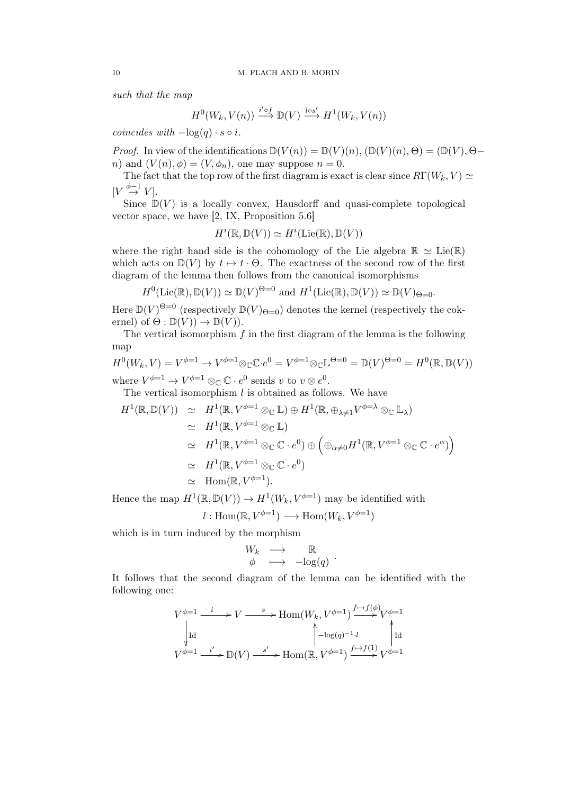such that the map

$$
H^0(W_k, V(n)) \xrightarrow{i' \circ f} \mathbb{D}(V) \xrightarrow{l \circ s'} H^1(W_k, V(n))
$$

coincides with  $-\log(q) \cdot s \circ i$ .

*Proof.* In view of the identifications  $\mathbb{D}(V(n)) = \mathbb{D}(V)(n)$ ,  $(\mathbb{D}(V)(n), \Theta) = (\mathbb{D}(V), \Theta$ n) and  $(V(n), \phi) = (V, \phi_n)$ , one may suppose  $n = 0$ .

The fact that the top row of the first diagram is exact is clear since  $R\Gamma(W_k, V) \simeq$  $[V \stackrel{\phi-1}{\rightarrow} V].$ 

Since  $\mathbb{D}(V)$  is a locally convex, Hausdorff and quasi-complete topological vector space, we have [2, IX, Proposition 5.6]

$$
H^i(\mathbb{R},\mathbb{D}(V))\simeq H^i(\mathrm{Lie}(\mathbb{R}),\mathbb{D}(V))
$$

where the right hand side is the cohomology of the Lie algebra  $\mathbb{R} \simeq \text{Lie}(\mathbb{R})$ which acts on  $\mathbb{D}(V)$  by  $t \mapsto t \cdot \Theta$ . The exactness of the second row of the first diagram of the lemma then follows from the canonical isomorphisms

 $H^0(\text{Lie}(\mathbb{R}), \mathbb{D}(V)) \simeq \mathbb{D}(V)^{\Theta=0}$  and  $H^1(\text{Lie}(\mathbb{R}), \mathbb{D}(V)) \simeq \mathbb{D}(V)_{\Theta=0}$ .

Here  $\mathbb{D}(V)^{\Theta=0}$  (respectively  $\mathbb{D}(V)_{\Theta=0}$ ) denotes the kernel (respectively the cokernel) of  $\Theta : \mathbb{D}(V) \to \mathbb{D}(V)$ .

The vertical isomorphism  $f$  in the first diagram of the lemma is the following map

$$
H^{0}(W_{k}, V) = V^{\phi=1} \to V^{\phi=1} \otimes_{\mathbb{C}} \mathbb{C} \cdot e^{0} = V^{\phi=1} \otimes_{\mathbb{C}} \mathbb{L}^{\Theta=0} = \mathbb{D}(V)^{\Theta=0} = H^{0}(\mathbb{R}, \mathbb{D}(V))
$$

where  $V^{\phi=1} \to V^{\phi=1} \otimes_{\mathbb{C}} \mathbb{C} \cdot e^0$  sends v to  $v \otimes e^0$ .

The vertical isomorphism  $l$  is obtained as follows. We have

$$
H^{1}(\mathbb{R}, \mathbb{D}(V)) \simeq H^{1}(\mathbb{R}, V^{\phi=1} \otimes_{\mathbb{C}} \mathbb{L}) \oplus H^{1}(\mathbb{R}, \oplus_{\lambda \neq 1} V^{\phi=\lambda} \otimes_{\mathbb{C}} \mathbb{L}_{\lambda})
$$
  
\simeq  $H^{1}(\mathbb{R}, V^{\phi=1} \otimes_{\mathbb{C}} \mathbb{L})$   
\simeq  $H^{1}(\mathbb{R}, V^{\phi=1} \otimes_{\mathbb{C}} \mathbb{C} \cdot e^{0}) \oplus (\oplus_{\alpha \neq 0} H^{1}(\mathbb{R}, V^{\phi=1} \otimes_{\mathbb{C}} \mathbb{C} \cdot e^{\alpha}))$   
\simeq  $H^{1}(\mathbb{R}, V^{\phi=1} \otimes_{\mathbb{C}} \mathbb{C} \cdot e^{0})$   
\simeq Hom(\mathbb{R}, V^{\phi=1}).

Hence the map  $H^1(\mathbb{R}, \mathbb{D}(V)) \to H^1(W_k, V^{\phi=1})$  may be identified with

$$
l: \text{Hom}(\mathbb{R}, V^{\phi=1}) \longrightarrow \text{Hom}(W_k, V^{\phi=1})
$$

which is in turn induced by the morphism

$$
\begin{array}{ccc}\nW_k & \longrightarrow & \mathbb{R} \\
\phi & \longmapsto & -\log(q)\n\end{array}.
$$

It follows that the second diagram of the lemma can be identified with the following one:

$$
V^{\phi=1} \xrightarrow{i} V \xrightarrow{s} \text{Hom}(W_k, V^{\phi=1}) \xrightarrow{f \mapsto f(\phi)} V^{\phi=1}
$$
  
\n
$$
\downarrow \text{Id} \qquad \qquad \downarrow \text{Log}(q)^{-1} \cdot l \qquad \qquad \downarrow \text{Id}
$$
  
\n
$$
V^{\phi=1} \xrightarrow{i'} \text{D}(V) \xrightarrow{s'} \text{Hom}(\mathbb{R}, V^{\phi=1}) \xrightarrow{f \mapsto f(1)} V^{\phi=1}
$$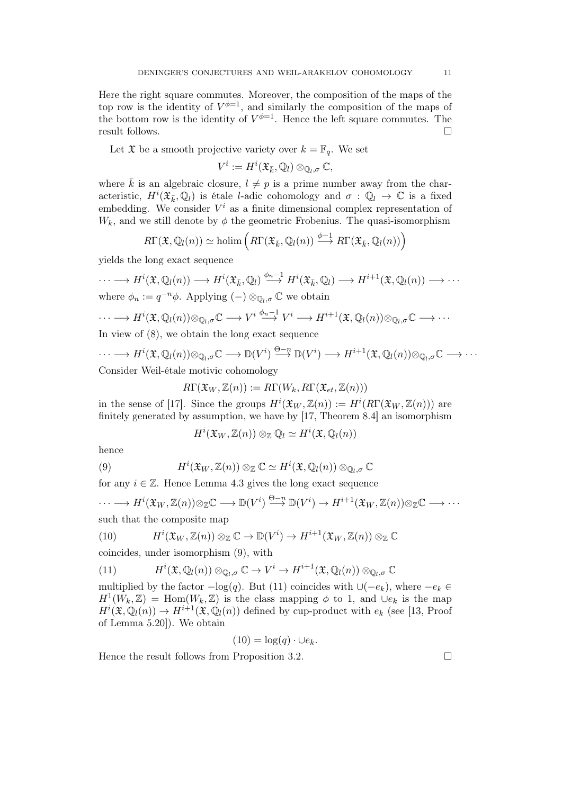Here the right square commutes. Moreover, the composition of the maps of the top row is the identity of  $V^{\phi=1}$ , and similarly the composition of the maps of the bottom row is the identity of  $V^{\phi=1}$ . Hence the left square commutes. The result follows.

Let  $\mathfrak X$  be a smooth projective variety over  $k = \mathbb F_q$ . We set

$$
V^i := H^i({\mathfrak X}_{\bar k},{\mathbb Q}_l)\otimes_{{\mathbb Q}_l,\sigma}{\mathbb C},
$$

where  $\bar{k}$  is an algebraic closure,  $l \neq p$  is a prime number away from the characteristic,  $H^i(\mathfrak{X}_{\bar{k}},\mathbb{Q}_l)$  is étale *l*-adic cohomology and  $\sigma : \mathbb{Q}_l \to \mathbb{C}$  is a fixed embedding. We consider  $V^i$  as a finite dimensional complex representation of  $W_k$ , and we still denote by  $\phi$  the geometric Frobenius. The quasi-isomorphism

$$
R\Gamma(\mathfrak{X},\mathbb{Q}_l(n)) \simeq \text{holim}\left(R\Gamma(\mathfrak{X}_{\bar{k}},\mathbb{Q}_l(n)) \xrightarrow{\phi-1} R\Gamma(\mathfrak{X}_{\bar{k}},\mathbb{Q}_l(n))\right)
$$

yields the long exact sequence

$$
\cdots \longrightarrow H^{i}(\mathfrak{X},\mathbb{Q}_{l}(n)) \longrightarrow H^{i}(\mathfrak{X}_{\bar{k}},\mathbb{Q}_{l}) \stackrel{\phi_{n}-1}{\longrightarrow} H^{i}(\mathfrak{X}_{\bar{k}},\mathbb{Q}_{l}) \longrightarrow H^{i+1}(\mathfrak{X},\mathbb{Q}_{l}(n)) \longrightarrow \cdots
$$
  
where  $\phi_{n} := q^{-n}\phi$ . Applying  $(-) \otimes_{\mathbb{Q}_{l},\sigma} \mathbb{C}$  we obtain

$$
\cdots \longrightarrow H^{i}(\mathfrak{X},\mathbb{Q}_{l}(n))\otimes_{\mathbb{Q}_{l},\sigma}\mathbb{C} \longrightarrow V^{i} \stackrel{\phi_{n}-1}{\longrightarrow} V^{i} \longrightarrow H^{i+1}(\mathfrak{X},\mathbb{Q}_{l}(n))\otimes_{\mathbb{Q}_{l},\sigma}\mathbb{C} \longrightarrow \cdots
$$

In view of (8), we obtain the long exact sequence

$$
\cdots \longrightarrow H^{i}(\mathfrak{X},\mathbb{Q}_{l}(n))\otimes_{\mathbb{Q}_{l},\sigma}\mathbb{C} \longrightarrow \mathbb{D}(V^{i}) \stackrel{\Theta-n}{\longrightarrow} \mathbb{D}(V^{i}) \longrightarrow H^{i+1}(\mathfrak{X},\mathbb{Q}_{l}(n))\otimes_{\mathbb{Q}_{l},\sigma}\mathbb{C} \longrightarrow \cdots
$$
  
Consider Weil-étale motivic cohomology

$$
R\Gamma(\mathfrak{X}_W,\mathbb{Z}(n)) := R\Gamma(W_k,R\Gamma(\mathfrak{X}_{et},\mathbb{Z}(n)))
$$

in the sense of [17]. Since the groups  $H^i(\mathfrak{X}_W,\mathbb{Z}(n)) := H^i(R\Gamma(\mathfrak{X}_W,\mathbb{Z}(n)))$  are finitely generated by assumption, we have by [17, Theorem 8.4] an isomorphism

$$
H^i(\mathfrak{X}_W,\mathbb{Z}(n))\otimes_{\mathbb{Z}}\mathbb{Q}_l\simeq H^i(\mathfrak{X},\mathbb{Q}_l(n))
$$

hence

(9) 
$$
H^{i}(\mathfrak{X}_{W},\mathbb{Z}(n)) \otimes_{\mathbb{Z}} \mathbb{C} \simeq H^{i}(\mathfrak{X},\mathbb{Q}_{l}(n)) \otimes_{\mathbb{Q}_{l},\sigma} \mathbb{C}
$$

for any  $i \in \mathbb{Z}$ . Hence Lemma 4.3 gives the long exact sequence

$$
\cdots \longrightarrow H^i(\mathfrak{X}_W, \mathbb{Z}(n)) \otimes \mathbb{Z} \mathbb{C} \longrightarrow \mathbb{D}(V^i) \stackrel{\Theta - n}{\longrightarrow} \mathbb{D}(V^i) \longrightarrow H^{i+1}(\mathfrak{X}_W, \mathbb{Z}(n)) \otimes \mathbb{Z} \mathbb{C} \longrightarrow \cdots
$$
 such that the composite map

(10) 
$$
H^{i}(\mathfrak{X}_{W}, \mathbb{Z}(n)) \otimes_{\mathbb{Z}} \mathbb{C} \to \mathbb{D}(V^{i}) \to H^{i+1}(\mathfrak{X}_{W}, \mathbb{Z}(n)) \otimes_{\mathbb{Z}} \mathbb{C}
$$

coincides, under isomorphism (9), with

(11) 
$$
H^{i}(\mathfrak{X},\mathbb{Q}_{l}(n))\otimes_{\mathbb{Q}_{l},\sigma}\mathbb{C}\to V^{i}\to H^{i+1}(\mathfrak{X},\mathbb{Q}_{l}(n))\otimes_{\mathbb{Q}_{l},\sigma}\mathbb{C}
$$

multiplied by the factor  $-\log(q)$ . But (11) coincides with  $\cup(-e_k)$ , where  $-e_k \in$  $H^1(W_k, \mathbb{Z}) = \text{Hom}(W_k, \mathbb{Z})$  is the class mapping  $\phi$  to 1, and  $\cup e_k$  is the map  $H^i(\mathfrak{X}, \mathbb{Q}_l(n)) \to H^{i+1}(\mathfrak{X}, \mathbb{Q}_l(n))$  defined by cup-product with  $e_k$  (see [13, Proof of Lemma 5.20]). We obtain

$$
(10) = \log(q) \cdot \cup e_k.
$$

Hence the result follows from Proposition 3.2.  $\Box$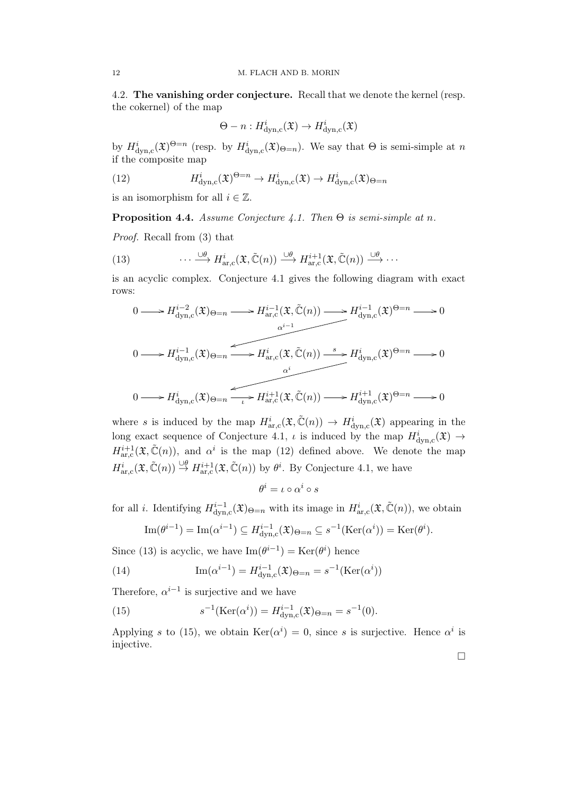4.2. The vanishing order conjecture. Recall that we denote the kernel (resp. the cokernel) of the map

$$
\Theta - n : H^i_{\text{dyn,c}}(\mathfrak{X}) \to H^i_{\text{dyn,c}}(\mathfrak{X})
$$

by  $H^i_{\text{dyn,c}}(\mathfrak{X})^{\Theta=n}$  (resp. by  $H^i_{\text{dyn,c}}(\mathfrak{X})_{\Theta=n}$ ). We say that  $\Theta$  is semi-simple at n if the composite map

(12) 
$$
H^i_{\text{dyn,c}}(\mathfrak{X})^{\Theta=n} \to H^i_{\text{dyn,c}}(\mathfrak{X}) \to H^i_{\text{dyn,c}}(\mathfrak{X})_{\Theta=n}
$$

is an isomorphism for all  $i \in \mathbb{Z}$ .

**Proposition 4.4.** Assume Conjecture 4.1. Then  $\Theta$  is semi-simple at n.

Proof. Recall from (3) that

(13) 
$$
\cdots \xrightarrow{\cup \theta} H^i_{\text{ar},c}(\mathfrak{X}, \tilde{\mathbb{C}}(n)) \xrightarrow{\cup \theta} H^{i+1}_{\text{ar},c}(\mathfrak{X}, \tilde{\mathbb{C}}(n)) \xrightarrow{\cup \theta} \cdots
$$

is an acyclic complex. Conjecture 4.1 gives the following diagram with exact rows:

$$
0 \longrightarrow H_{\text{dyn,c}}^{i-2}(\mathfrak{X})_{\Theta=n} \longrightarrow H_{\text{ar,c}}^{i-1}(\mathfrak{X}, \tilde{\mathbb{C}}(n)) \longrightarrow H_{\text{dyn,c}}^{i-1}(\mathfrak{X})^{\Theta=n} \longrightarrow 0
$$
  

$$
0 \longrightarrow H_{\text{dyn,c}}^{i-1}(\mathfrak{X})_{\Theta=n} \longrightarrow H_{\text{ar,c}}^{i}(\mathfrak{X}, \tilde{\mathbb{C}}(n)) \longrightarrow H_{\text{dyn,c}}^{i}(\mathfrak{X})^{\Theta=n} \longrightarrow 0
$$
  

$$
0 \longrightarrow H_{\text{dyn,c}}^{i}(\mathfrak{X})_{\Theta=n} \longrightarrow H_{\text{ar,c}}^{i+1}(\mathfrak{X}, \tilde{\mathbb{C}}(n)) \longrightarrow H_{\text{dyn,c}}^{i+1}(\mathfrak{X})^{\Theta=n} \longrightarrow 0
$$

where s is induced by the map  $H^i_{\text{ar},c}(\mathfrak{X},\tilde{\mathbb{C}}(n)) \to H^i_{\text{dyn},c}(\mathfrak{X})$  appearing in the long exact sequence of Conjecture 4.1,  $\iota$  is induced by the map  $H^i_{\text{dyn,c}}(\mathfrak{X}) \to$  $H^{i+1}_{ar,c}(\mathfrak{X}, \tilde{\mathbb{C}}(n))$ , and  $\alpha^i$  is the map (12) defined above. We denote the map  $H^i_{\text{ar},c}(\mathfrak{X},\tilde{\mathbb{C}}(n)) \stackrel{\cup \theta}{\rightarrow} H^{i+1}_{\text{ar},c}(\mathfrak{X},\tilde{\mathbb{C}}(n))$  by  $\theta^i$ . By Conjecture 4.1, we have

$$
\theta^i=\iota\circ\alpha^i\circ s
$$

for all *i*. Identifying  $H_{\text{dyn}}^{i-1}$  $d_{\text{dyn,c}}^{i-1}(\mathfrak{X})_{\Theta=n}$  with its image in  $H^i_{\text{ar},\text{c}}(\mathfrak{X},\tilde{\mathbb{C}}(n))$ , we obtain

Im
$$
(\theta^{i-1})
$$
 = Im $(\alpha^{i-1})$   $\subseteq$   $H^{i-1}_{dyn,c}(\mathfrak{X})_{\Theta=n} \subseteq s^{-1}(\text{Ker}(\alpha^i)) = \text{Ker}(\theta^i).$ 

Since (13) is acyclic, we have  $\text{Im}(\theta^{i-1}) = \text{Ker}(\theta^i)$  hence

(14) 
$$
\operatorname{Im}(\alpha^{i-1}) = H_{\text{dyn,c}}^{i-1}(\mathfrak{X})_{\Theta = n} = s^{-1}(\operatorname{Ker}(\alpha^i))
$$

Therefore,  $\alpha^{i-1}$  is surjective and we have

(15) 
$$
s^{-1}(\text{Ker}(\alpha^i)) = H_{\text{dyn,c}}^{i-1}(\mathfrak{X})_{\Theta=n} = s^{-1}(0).
$$

Applying s to (15), we obtain  $\text{Ker}(\alpha^i) = 0$ , since s is surjective. Hence  $\alpha^i$  is injective.

 $\Box$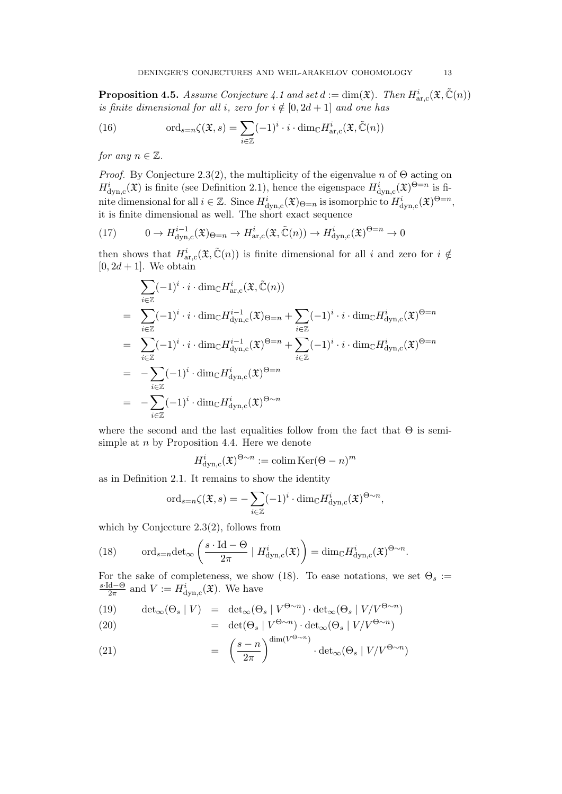**Proposition 4.5.** Assume Conjecture 4.1 and set  $d := \dim(\mathfrak{X})$ . Then  $H^i_{\text{ar},\text{c}}(\mathfrak{X}, \tilde{\mathbb{C}}(n))$ is finite dimensional for all i, zero for  $i \notin [0, 2d + 1]$  and one has

(16) 
$$
\text{ord}_{s=n}\zeta(\mathfrak{X},s)=\sum_{i\in\mathbb{Z}}(-1)^i\cdot i\cdot\dim_{\mathbb{C}}H^i_{\text{ar},c}(\mathfrak{X},\tilde{\mathbb{C}}(n))
$$

for any  $n \in \mathbb{Z}$ .

*Proof.* By Conjecture 2.3(2), the multiplicity of the eigenvalue n of  $\Theta$  acting on  $H^i_{\text{dyn,c}}(\mathfrak{X})$  is finite (see Definition 2.1), hence the eigenspace  $H^i_{\text{dyn,c}}(\mathfrak{X})^{\Theta=n}$  is finite dimensional for all  $i \in \mathbb{Z}$ . Since  $H^i_{\text{dyn},c}(\mathfrak{X})_{\Theta=n}$  is isomorphic to  $H^i_{\text{dyn},c}(\mathfrak{X})^{\Theta=n}$ , it is finite dimensional as well. The short exact sequence

(17) 
$$
0 \to H^{i-1}_{\text{dyn,c}}(\mathfrak{X})_{\Theta=n} \to H^i_{\text{ar,c}}(\mathfrak{X}, \tilde{\mathbb{C}}(n)) \to H^i_{\text{dyn,c}}(\mathfrak{X})^{\Theta=n} \to 0
$$

then shows that  $H^i_{\text{ar},c}(\mathfrak{X},\tilde{\mathbb{C}}(n))$  is finite dimensional for all i and zero for  $i \notin$  $[0, 2d + 1]$ . We obtain

$$
\sum_{i\in\mathbb{Z}}(-1)^{i}\cdot i\cdot \dim_{\mathbb{C}}H^{i}_{\mathrm{ar},c}(\mathfrak{X},\tilde{\mathbb{C}}(n))
$$
\n
$$
=\sum_{i\in\mathbb{Z}}(-1)^{i}\cdot i\cdot \dim_{\mathbb{C}}H^{i-1}_{\mathrm{dyn},c}(\mathfrak{X})_{\Theta=n}+\sum_{i\in\mathbb{Z}}(-1)^{i}\cdot i\cdot \dim_{\mathbb{C}}H^{i}_{\mathrm{dyn},c}(\mathfrak{X})^{\Theta=n}
$$
\n
$$
=\sum_{i\in\mathbb{Z}}(-1)^{i}\cdot i\cdot \dim_{\mathbb{C}}H^{i-1}_{\mathrm{dyn},c}(\mathfrak{X})^{\Theta=n}+\sum_{i\in\mathbb{Z}}(-1)^{i}\cdot i\cdot \dim_{\mathbb{C}}H^{i}_{\mathrm{dyn},c}(\mathfrak{X})^{\Theta=n}
$$
\n
$$
=\sum_{i\in\mathbb{Z}}(-1)^{i}\cdot \dim_{\mathbb{C}}H^{i}_{\mathrm{dyn},c}(\mathfrak{X})^{\Theta=n}
$$
\n
$$
=\sum_{i\in\mathbb{Z}}(-1)^{i}\cdot \dim_{\mathbb{C}}H^{i}_{\mathrm{dyn},c}(\mathfrak{X})^{\Theta\sim n}
$$

where the second and the last equalities follow from the fact that  $\Theta$  is semisimple at n by Proposition 4.4. Here we denote

$$
H^i_{\text{dyn,c}}(\mathfrak{X})^{\Theta \sim n} := \operatorname{colim} \operatorname{Ker}(\Theta - n)^m
$$

as in Definition 2.1. It remains to show the identity

$$
\mathrm{ord}_{s=n}\zeta(\mathfrak{X},s)=-\sum_{i\in\mathbb{Z}}(-1)^{i}\cdot\mathrm{dim}_{\mathbb{C}}H^{i}_{\mathrm{dyn},c}(\mathfrak{X})^{\Theta\sim n},
$$

which by Conjecture 2.3(2), follows from

(18) 
$$
\operatorname{ord}_{s=n} \det_{\infty} \left( \frac{s \cdot \operatorname{Id} - \Theta}{2\pi} \mid H^i_{\operatorname{dyn},c}(\mathfrak{X}) \right) = \dim_{\mathbb{C}} H^i_{\operatorname{dyn},c}(\mathfrak{X})^{\Theta \sim n}.
$$

For the sake of completeness, we show (18). To ease notations, we set  $\Theta_s$  := s·Id−Θ  $\frac{d-*Θ*}{2\pi}$  and  $V := H^i_{\text{dyn,c}}(\mathfrak{X})$ . We have

(19) 
$$
\det_{\infty}(\Theta_s | V) = \det_{\infty}(\Theta_s | V^{\Theta \sim n}) \cdot \det_{\infty}(\Theta_s | V/V^{\Theta \sim n})
$$
  
(20) 
$$
= \det(\Theta_s | V^{\Theta \sim n}) \cdot \det_{\infty}(\Theta_s | V/V^{\Theta \sim n})
$$

(21) 
$$
= \left(\frac{s-n}{2\pi}\right)^{\dim(V^{\Theta\sim n})} \cdot \det(\Theta_s \mid V/V^{\Theta\sim n})
$$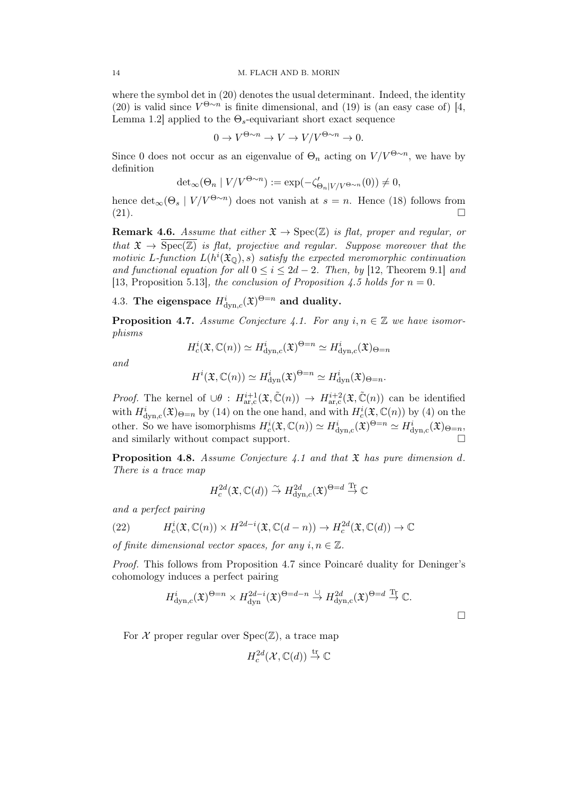where the symbol det in  $(20)$  denotes the usual determinant. Indeed, the identity (20) is valid since  $V^{\Theta \sim n}$  is finite dimensional, and (19) is (an easy case of) [4, Lemma 1.2] applied to the  $\Theta_s$ -equivariant short exact sequence

$$
0 \to V^{\Theta \sim n} \to V \to V/V^{\Theta \sim n} \to 0.
$$

Since 0 does not occur as an eigenvalue of  $\Theta_n$  acting on  $V/V^{\Theta \sim n}$ , we have by definition

$$
\det_{\infty}(\Theta_n \mid V/V^{\Theta \sim n}) := \exp(-\zeta_{\Theta_n \mid V/V^{\Theta \sim n}}'(0)) \neq 0,
$$

hence  $\det_{\infty}(\Theta_s | V/V^{\Theta \sim n})$  does not vanish at  $s = n$ . Hence (18) follows from  $(21).$ 

**Remark 4.6.** Assume that either  $\mathfrak{X} \to \text{Spec}(\mathbb{Z})$  is flat, proper and regular, or that  $\mathfrak{X} \to \text{Spec}(\mathbb{Z})$  is flat, projective and regular. Suppose moreover that the motivic L-function  $L(h^{i}(\mathfrak{X}_{\mathbb{O}}), s)$  satisfy the expected meromorphic continuation and functional equation for all  $0 \le i \le 2d - 2$ . Then, by [12, Theorem 9.1] and [13, Proposition 5.13], the conclusion of Proposition 4.5 holds for  $n = 0$ .

4.3. The eigenspace  $H^i_{\text{dyn},c}(\mathfrak{X})^{\Theta=n}$  and duality.

**Proposition 4.7.** Assume Conjecture 4.1. For any  $i, n \in \mathbb{Z}$  we have isomorphisms

$$
H_c^i(\mathfrak{X}, \mathbb{C}(n)) \simeq H^i_{\text{dyn},c}(\mathfrak{X})^{\Theta=n} \simeq H^i_{\text{dyn},c}(\mathfrak{X})_{\Theta=n}
$$

and

$$
H^{i}(\mathfrak{X}, \mathbb{C}(n)) \simeq H^{i}_{\mathrm{dyn}}(\mathfrak{X})^{\Theta=n} \simeq H^{i}_{\mathrm{dyn}}(\mathfrak{X})_{\Theta=n}.
$$

*Proof.* The kernel of  $\cup \theta$  :  $H^{i+1}_{ar,c}(\mathfrak{X}, \tilde{\mathbb{C}}(n)) \to H^{i+2}_{ar,c}(\mathfrak{X}, \tilde{\mathbb{C}}(n))$  can be identified with  $H^i_{\text{dyn},c}(\mathfrak{X})_{\Theta=n}$  by (14) on the one hand, and with  $H^i_c(\mathfrak{X}, \mathbb{C}(n))$  by (4) on the other. So we have isomorphisms  $H_c^i(\mathfrak{X}, \mathbb{C}(n)) \simeq H_{\text{dyn},c}^i(\mathfrak{X})^{\Theta=n} \simeq H_{\text{dyn},c}^i(\mathfrak{X})_{\Theta=n},$ and similarly without compact support.

**Proposition 4.8.** Assume Conjecture 4.1 and that  $\mathfrak X$  has pure dimension d. There is a trace map

$$
H^{2d}_{c}(\mathfrak{X}, \mathbb{C}(d)) \stackrel{\sim}{\to} H^{2d}_{\text{dyn},c}(\mathfrak{X})^{\Theta=d} \stackrel{\text{Tr}}{\to} \mathbb{C}
$$

and a perfect pairing

(22) 
$$
H_c^i(\mathfrak{X}, \mathbb{C}(n)) \times H^{2d-i}(\mathfrak{X}, \mathbb{C}(d-n)) \to H_c^{2d}(\mathfrak{X}, \mathbb{C}(d)) \to \mathbb{C}
$$

of finite dimensional vector spaces, for any  $i, n \in \mathbb{Z}$ .

Proof. This follows from Proposition 4.7 since Poincaré duality for Deninger's cohomology induces a perfect pairing

$$
H^i_{\text{dyn},c}(\mathfrak{X})^{\Theta=n} \times H^{2d-i}_{\text{dyn}}(\mathfrak{X})^{\Theta=d-n} \overset{\cup}{\to} H^{2d}_{\text{dyn},c}(\mathfrak{X})^{\Theta=d} \overset{\text{Tr}}{\to} \mathbb{C}.
$$

For  $X$  proper regular over  $Spec(\mathbb{Z})$ , a trace map

$$
H^{2d}_c(\mathcal{X}, \mathbb{C}(d)) \stackrel{\text{tr}}{\to} \mathbb{C}
$$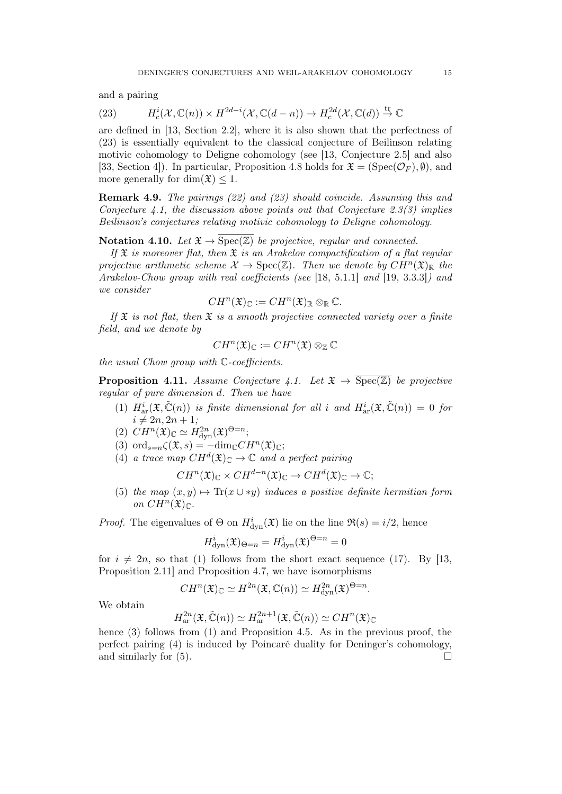and a pairing

(23) 
$$
H_c^i(\mathcal{X}, \mathbb{C}(n)) \times H^{2d-i}(\mathcal{X}, \mathbb{C}(d-n)) \to H_c^{2d}(\mathcal{X}, \mathbb{C}(d)) \stackrel{\text{tr}}{\to} \mathbb{C}
$$

are defined in [13, Section 2.2], where it is also shown that the perfectness of (23) is essentially equivalent to the classical conjecture of Beilinson relating motivic cohomology to Deligne cohomology (see [13, Conjecture 2.5] and also [33, Section 4]). In particular, Proposition 4.8 holds for  $\mathfrak{X} = (\text{Spec}(\mathcal{O}_F), \emptyset)$ , and more generally for dim $(\mathfrak{X}) \leq 1$ .

Remark 4.9. The pairings (22) and (23) should coincide. Assuming this and Conjecture 4.1, the discussion above points out that Conjecture 2.3(3) implies Beilinson's conjectures relating motivic cohomology to Deligne cohomology.

Notation 4.10. Let  $\mathfrak{X} \to \overline{\text{Spec}(\mathbb{Z})}$  be projective, regular and connected.

If  $\mathfrak X$  is moreover flat, then  $\mathfrak X$  is an Arakelov compactification of a flat regular projective arithmetic scheme  $\mathcal{X} \to \text{Spec}(\mathbb{Z})$ . Then we denote by  $CH^n(\mathfrak{X})_{\mathbb{R}}$  the Arakelov-Chow group with real coefficients (see [18, 5.1.1] and [19, 3.3.3]) and we consider

$$
CH^n(\mathfrak{X})_{\mathbb{C}} := CH^n(\mathfrak{X})_{\mathbb{R}} \otimes_{\mathbb{R}} \mathbb{C}.
$$

If  $\mathfrak X$  is not flat, then  $\mathfrak X$  is a smooth projective connected variety over a finite field, and we denote by

$$
CH^n(\mathfrak{X})_{\mathbb{C}} := CH^n(\mathfrak{X}) \otimes_{\mathbb{Z}} \mathbb{C}
$$

the usual Chow group with C-coefficients.

**Proposition 4.11.** Assume Conjecture 4.1. Let  $\mathfrak{X} \to \overline{\text{Spec}(\mathbb{Z})}$  be projective regular of pure dimension d. Then we have

- (1)  $H^i_{\text{ar}}(\mathfrak{X}, \tilde{\mathbb{C}}(n))$  is finite dimensional for all i and  $H^i_{\text{ar}}(\mathfrak{X}, \tilde{\mathbb{C}}(n)) = 0$  for  $i \neq 2n, 2n + 1;$
- (2)  $CH^n(\mathfrak{X})_{\mathbb{C}} \simeq H^{2n}_{\text{dyn}}(\mathfrak{X})^{\Theta=n};$
- (3) ord<sub>s=n</sub> $\zeta(\mathfrak{X},s) = -\text{dim}_{\mathbb{C}}CH^n(\mathfrak{X})_{\mathbb{C}};$
- (4) a trace map  $CH^d(\mathfrak{X})_{\mathbb{C}} \to \mathbb{C}$  and a perfect pairing

$$
CH^n(\mathfrak{X})_{\mathbb{C}} \times CH^{d-n}(\mathfrak{X})_{\mathbb{C}} \to CH^d(\mathfrak{X})_{\mathbb{C}} \to \mathbb{C};
$$

(5) the map  $(x, y) \mapsto \text{Tr}(x \cup \ast y)$  induces a positive definite hermitian form on  $CH^n(\mathfrak{X})_{\mathbb{C}}$ .

*Proof.* The eigenvalues of  $\Theta$  on  $H^i_{\text{dyn}}(\mathfrak{X})$  lie on the line  $\mathfrak{R}(s) = i/2$ , hence

$$
H_{\text{dyn}}^i(\mathfrak{X})_{\Theta=n} = H_{\text{dyn}}^i(\mathfrak{X})^{\Theta=n} = 0
$$

for  $i \neq 2n$ , so that (1) follows from the short exact sequence (17). By [13, Proposition 2.11] and Proposition 4.7, we have isomorphisms

$$
CH^n(\mathfrak{X})_{\mathbb{C}} \simeq H^{2n}(\mathfrak{X}, \mathbb{C}(n)) \simeq H^{2n}_{\text{dyn}}(\mathfrak{X})^{\Theta=n}.
$$

We obtain

$$
H_{\text{ar}}^{2n}(\mathfrak{X}, \tilde{\mathbb{C}}(n)) \simeq H_{\text{ar}}^{2n+1}(\mathfrak{X}, \tilde{\mathbb{C}}(n)) \simeq CH^{n}(\mathfrak{X})_{\mathbb{C}}
$$

hence (3) follows from (1) and Proposition 4.5. As in the previous proof, the perfect pairing (4) is induced by Poincaré duality for Deninger's cohomology, and similarly for  $(5)$ .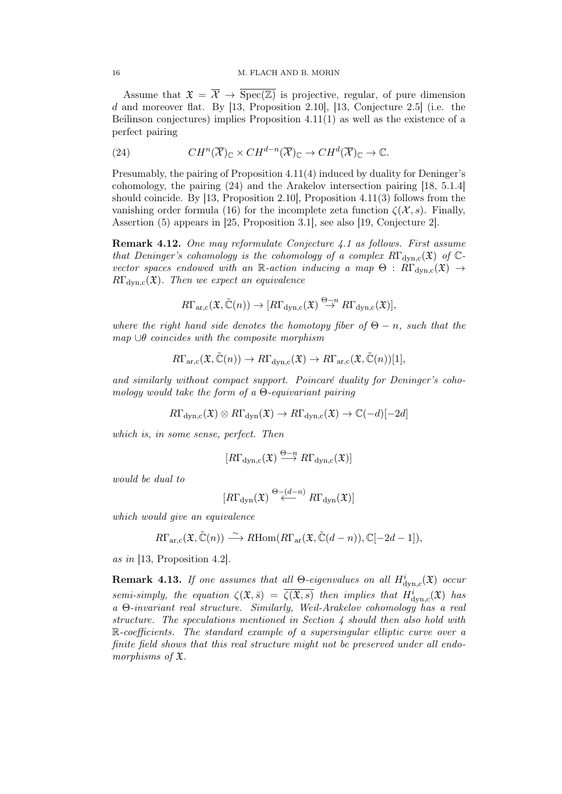Assume that  $\mathfrak{X} = \overline{\mathcal{X}} \to \overline{\text{Spec}(\mathbb{Z})}$  is projective, regular, of pure dimension d and moreover flat. By  $[13,$  Proposition 2.10,  $[13,$  Conjecture 2.5 (i.e. the Beilinson conjectures) implies Proposition 4.11(1) as well as the existence of a perfect pairing

(24) 
$$
CH^n(\overline{\mathcal{X}})_{\mathbb{C}} \times CH^{d-n}(\overline{\mathcal{X}})_{\mathbb{C}} \to CH^d(\overline{\mathcal{X}})_{\mathbb{C}} \to \mathbb{C}.
$$

Presumably, the pairing of Proposition 4.11(4) induced by duality for Deninger's cohomology, the pairing (24) and the Arakelov intersection pairing [18, 5.1.4] should coincide. By [13, Proposition 2.10], Proposition 4.11(3) follows from the vanishing order formula (16) for the incomplete zeta function  $\zeta(\mathcal{X}, s)$ . Finally, Assertion (5) appears in [25, Proposition 3.1], see also [19, Conjecture 2].

**Remark 4.12.** One may reformulate Conjecture 4.1 as follows. First assume that Deninger's cohomology is the cohomology of a complex  $R\Gamma_{dyn,c}(\mathfrak{X})$  of  $\mathbb{C}$ vector spaces endowed with an R-action inducing a map  $\Theta$ :  $R\Gamma_{dyn,c}(\mathfrak{X}) \rightarrow$  $R\Gamma_{\text{dyn.c}}(\mathfrak{X})$ . Then we expect an equivalence

$$
R\Gamma_{\text{ar},c}(\mathfrak{X},\tilde{\mathbb{C}}(n))\to [R\Gamma_{\text{dyn},c}(\mathfrak{X})\stackrel{\Theta-n}{\to} R\Gamma_{\text{dyn},c}(\mathfrak{X})],
$$

where the right hand side denotes the homotopy fiber of  $\Theta - n$ , such that the  $map \cup \theta$  coincides with the composite morphism

$$
R\Gamma_{\text{ar},\text{c}}(\mathfrak{X},\tilde{\mathbb{C}}(n))\to R\Gamma_{\text{dyn},\text{c}}(\mathfrak{X})\to R\Gamma_{\text{ar},\text{c}}(\mathfrak{X},\tilde{\mathbb{C}}(n))[1],
$$

and similarly without compact support. Poincaré duality for Deninger's cohomology would take the form of a  $\Theta$ -equivariant pairing

$$
R\Gamma_{\rm dyn,c}(\mathfrak{X})\otimes R\Gamma_{\rm dyn}(\mathfrak{X})\to R\Gamma_{\rm dyn,c}(\mathfrak{X})\to \mathbb{C}(-d)[-2d]
$$

which is, in some sense, perfect. Then

$$
[R\Gamma_{\text{dyn,c}}(\mathfrak{X}) \stackrel{\Theta - n}{\longrightarrow} R\Gamma_{\text{dyn,c}}(\mathfrak{X})]
$$

would be dual to

$$
[R\Gamma_{\rm dyn}(\mathfrak{X}) \stackrel{\Theta-(d-n)}{\longleftarrow} R\Gamma_{\rm dyn}(\mathfrak{X})]
$$

which would give an equivalence

$$
R\Gamma_{\text{ar},c}(\mathfrak{X},\tilde{\mathbb{C}}(n)) \stackrel{\sim}{\longrightarrow} R\text{Hom}(R\Gamma_{\text{ar}}(\mathfrak{X},\tilde{\mathbb{C}}(d-n)),\mathbb{C}[-2d-1]),
$$

as in [13, Proposition 4.2].

**Remark 4.13.** If one assumes that all  $\Theta$ -eigenvalues on all  $H^i_{\text{dyn},c}(\mathfrak{X})$  occur semi-simply, the equation  $\zeta(\mathfrak{X},\bar{s}) = \overline{\zeta(\mathfrak{X},s)}$  then implies that  $H^i_{\text{dyn},c}(\mathfrak{X})$  has a Θ-invariant real structure. Similarly, Weil-Arakelov cohomology has a real structure. The speculations mentioned in Section 4 should then also hold with R-coefficients. The standard example of a supersingular elliptic curve over a finite field shows that this real structure might not be preserved under all endomorphisms of X.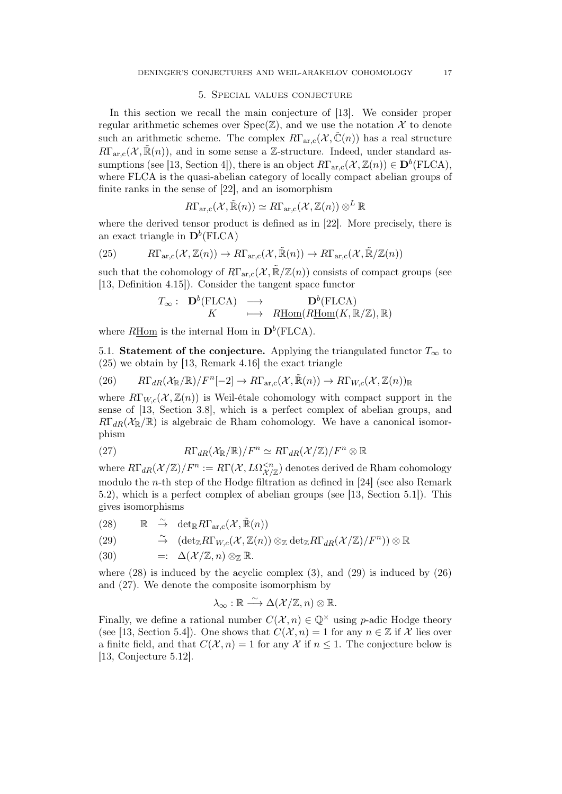### 5. Special values conjecture

In this section we recall the main conjecture of [13]. We consider proper regular arithmetic schemes over  $Spec(\mathbb{Z})$ , and we use the notation X to denote such an arithmetic scheme. The complex  $R\Gamma_{\text{arc}}(\mathcal{X},\mathbb{C}(n))$  has a real structure  $R\Gamma_{\text{arc}}(\mathcal{X}, \tilde{\mathbb{R}}(n))$ , and in some sense a Z-structure. Indeed, under standard assumptions (see [13, Section 4]), there is an object  $R\Gamma_{\text{ar,c}}(\mathcal{X}, \mathbb{Z}(n)) \in \mathbf{D}^b(\text{FLCA})$ , where FLCA is the quasi-abelian category of locally compact abelian groups of finite ranks in the sense of [22], and an isomorphism

$$
R\Gamma_{\text{ar},\text{c}}(\mathcal{X},\tilde{\mathbb{R}}(n))\simeq R\Gamma_{\text{ar},\text{c}}(\mathcal{X},\mathbb{Z}(n))\otimes^L\mathbb{R}
$$

where the derived tensor product is defined as in [22]. More precisely, there is an exact triangle in  $\mathbf{D}^b(\text{FLCA})$ 

(25) 
$$
R\Gamma_{\text{ar},\text{c}}(\mathcal{X},\mathbb{Z}(n)) \to R\Gamma_{\text{ar},\text{c}}(\mathcal{X},\tilde{\mathbb{R}}(n)) \to R\Gamma_{\text{ar},\text{c}}(\mathcal{X},\tilde{\mathbb{R}}/\mathbb{Z}(n))
$$

such that the cohomology of  $R\Gamma_{\text{arc}}(\mathcal{X}, \mathbb{R}/\mathbb{Z}(n))$  consists of compact groups (see [13, Definition 4.15]). Consider the tangent space functor

$$
T_{\infty}: \begin{array}{ccc} \mathbf{D}^b(\text{FLCA}) & \longrightarrow & \mathbf{D}^b(\text{FLCA}) \\ K & \longmapsto & R\underline{\text{Hom}}(R\underline{\text{Hom}}(K,\mathbb{R}/\mathbb{Z}),\mathbb{R}) \end{array}
$$

where  $R\underline{\text{Hom}}$  is the internal Hom in  $\mathbf{D}^b(\text{FLCA})$ .

5.1. Statement of the conjecture. Applying the triangulated functor  $T_{\infty}$  to (25) we obtain by [13, Remark 4.16] the exact triangle

(26) 
$$
R\Gamma_{dR}(\mathcal{X}_{\mathbb{R}}/\mathbb{R})/F^{n}[-2] \to R\Gamma_{\text{ar},c}(\mathcal{X},\tilde{\mathbb{R}}(n)) \to R\Gamma_{W,c}(\mathcal{X},\mathbb{Z}(n))_{\mathbb{R}}
$$

where  $R\Gamma_{W,c}(\mathcal{X},\mathbb{Z}(n))$  is Weil-étale cohomology with compact support in the sense of [13, Section 3.8], which is a perfect complex of abelian groups, and  $R\Gamma_{dR}(\mathcal{X}_{\mathbb{R}}/\mathbb{R})$  is algebraic de Rham cohomology. We have a canonical isomorphism

(27) 
$$
R\Gamma_{dR}(\mathcal{X}_{\mathbb{R}}/\mathbb{R})/F^n \simeq R\Gamma_{dR}(\mathcal{X}/\mathbb{Z})/F^n \otimes \mathbb{R}
$$

where  $R\Gamma_{dR}(\mathcal{X}/\mathbb{Z})/F^n := R\Gamma(\mathcal{X}, L\Omega^{ denotes derived de Rham cohomology$ modulo the n-th step of the Hodge filtration as defined in [24] (see also Remark 5.2), which is a perfect complex of abelian groups (see [13, Section 5.1]). This gives isomorphisms

(28)  $\mathbb{R} \stackrel{\sim}{\to} \det_{\mathbb{R}} R\Gamma_{\text{ar,c}}(\mathcal{X}, \tilde{\mathbb{R}}(n))$ 

(29) 
$$
\widetilde{\rightarrow} \quad (\det_{\mathbb{Z}} R\Gamma_{W,c}(\mathcal{X},\mathbb{Z}(n)) \otimes_{\mathbb{Z}} \det_{\mathbb{Z}} R\Gamma_{dR}(\mathcal{X}/\mathbb{Z})/F^n)) \otimes \mathbb{R}
$$

(30) =: 
$$
\Delta(\mathcal{X}/\mathbb{Z}, n) \otimes_{\mathbb{Z}} \mathbb{R}
$$
.

where  $(28)$  is induced by the acyclic complex  $(3)$ , and  $(29)$  is induced by  $(26)$ and (27). We denote the composite isomorphism by

$$
\lambda_{\infty} : \mathbb{R} \xrightarrow{\sim} \Delta(\mathcal{X}/\mathbb{Z}, n) \otimes \mathbb{R}.
$$

Finally, we define a rational number  $C(\mathcal{X}, n) \in \mathbb{Q}^{\times}$  using p-adic Hodge theory (see [13, Section 5.4]). One shows that  $C(\mathcal{X}, n) = 1$  for any  $n \in \mathbb{Z}$  if X lies over a finite field, and that  $C(\mathcal{X}, n) = 1$  for any X if  $n \leq 1$ . The conjecture below is [13, Conjecture 5.12].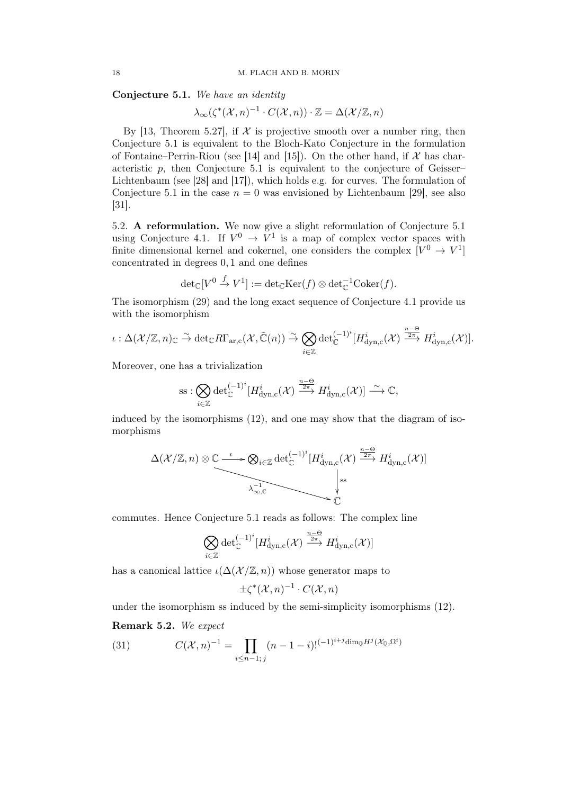Conjecture 5.1. We have an identity

$$
\lambda_{\infty}(\zeta^*(\mathcal{X}, n)^{-1} \cdot C(\mathcal{X}, n)) \cdot \mathbb{Z} = \Delta(\mathcal{X}/\mathbb{Z}, n)
$$

By [13, Theorem 5.27], if  $\mathcal X$  is projective smooth over a number ring, then Conjecture 5.1 is equivalent to the Bloch-Kato Conjecture in the formulation of Fontaine–Perrin-Riou (see [14] and [15]). On the other hand, if  $\mathcal X$  has characteristic  $p$ , then Conjecture 5.1 is equivalent to the conjecture of Geisser– Lichtenbaum (see [28] and [17]), which holds e.g. for curves. The formulation of Conjecture 5.1 in the case  $n = 0$  was envisioned by Lichtenbaum [29], see also [31].

5.2. A reformulation. We now give a slight reformulation of Conjecture 5.1 using Conjecture 4.1. If  $V^0 \rightarrow V^1$  is a map of complex vector spaces with finite dimensional kernel and cokernel, one considers the complex  $[V^0 \to V^1]$ concentrated in degrees 0, 1 and one defines

$$
\text{det}_{\mathbb{C}}[V^0 \stackrel{f}{\to} V^1] := \text{det}_{\mathbb{C}}\text{Ker}(f) \otimes \text{det}_{\mathbb{C}}^{-1}\text{Coker}(f).
$$

The isomorphism (29) and the long exact sequence of Conjecture 4.1 provide us with the isomorphism

$$
\iota: \Delta(\mathcal{X}/\mathbb{Z},n)_{\mathbb{C}} \stackrel{\sim}{\to} \det_{\mathbb{C}} R\Gamma_{\text{ar},c}(\mathcal{X},\tilde{\mathbb{C}}(n)) \stackrel{\sim}{\to} \bigotimes_{i\in\mathbb{Z}} \det_{\mathbb{C}}^{(-1)^i} [H^i_{\text{dyn},c}(\mathcal{X}) \stackrel{\frac{n-\Theta}{2\pi}}{\to} H^i_{\text{dyn},c}(\mathcal{X})].
$$

Moreover, one has a trivialization

$$
\mathrm{ss}:\bigotimes_{i\in\mathbb{Z}}\mathrm{det}_{\mathbb{C}}^{(-1)^{i}}[H^{i}_{\mathrm{dyn,c}}(\mathcal{X})\xrightarrow{\frac{n-\Theta}{2\pi}}H^{i}_{\mathrm{dyn,c}}(\mathcal{X})]\stackrel{\sim}{\longrightarrow}\mathbb{C},
$$

induced by the isomorphisms (12), and one may show that the diagram of isomorphisms

$$
\Delta(\mathcal{X}/\mathbb{Z}, n) \otimes \underbrace{\mathbb{C} \xrightarrow{\iota} \bigotimes_{i \in \mathbb{Z}} \det_{\mathbb{C}}^{(-1)^{i}} [H_{\mathrm{dyn},c}^{i}(\mathcal{X}) \xrightarrow{\frac{n-\Theta}{2\pi}} H_{\mathrm{dyn},c}^{i}(\mathcal{X})]}_{\mathbb{C}}
$$

commutes. Hence Conjecture 5.1 reads as follows: The complex line

$$
\bigotimes_{i \in \mathbb{Z}} \det_{\mathbb{C}}^{(-1)^i} [H^i_{\mathrm{dyn,c}}(\mathcal{X}) \xrightarrow{\frac{n-\Theta}{2\pi}} H^i_{\mathrm{dyn,c}}(\mathcal{X})]
$$

has a canonical lattice  $\iota(\Delta(\mathcal{X}/\mathbb{Z}, n))$  whose generator maps to

$$
\pm \zeta^* (\mathcal{X}, n)^{-1} \cdot C(\mathcal{X}, n)
$$

under the isomorphism ss induced by the semi-simplicity isomorphisms (12).

## Remark 5.2. We expect

(31) 
$$
C(\mathcal{X}, n)^{-1} = \prod_{i \leq n-1; j} (n-1-i)!^{(-1)^{i+j} \dim_{\mathbb{Q}} H^j(\mathcal{X}_{\mathbb{Q}}, \Omega^i)}
$$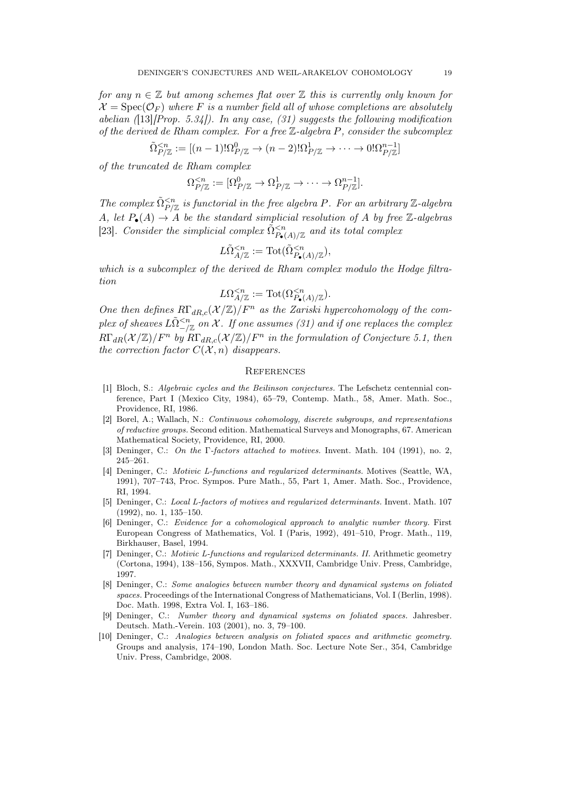for any  $n \in \mathbb{Z}$  but among schemes flat over  $\mathbb{Z}$  this is currently only known for  $\mathcal{X} = \text{Spec}(\mathcal{O}_F)$  where F is a number field all of whose completions are absolutely abelian ([13][Prop. 5.34]). In any case, (31) suggests the following modification of the derived de Rham complex. For a free  $\mathbb Z$ -algebra P, consider the subcomplex

$$
\tilde{\Omega}_{P/\mathbb{Z}}^{\leq n} := [(n-1)!\Omega_{P/\mathbb{Z}}^0 \to (n-2)!\Omega_{P/\mathbb{Z}}^1 \to \cdots \to 0!\Omega_{P/\mathbb{Z}}^{n-1}]
$$

of the truncated de Rham complex

$$
\Omega_{P/\mathbb{Z}}^{
$$

The complex  $\tilde{\Omega}_{P/\mathbb{Z}}^{< n}$  is functorial in the free algebra P. For an arbitrary Z-algebra A, let  $P_{\bullet}(A) \rightarrow A$  be the standard simplicial resolution of A by free Z-algebras [23]. Consider the simplicial complex  $\tilde{\Omega}_{P_{\bullet}(A)/\mathbb{Z}}^{ and its total complex$ 

$$
L\tilde{\Omega}_{A/\mathbb{Z}}^{
$$

which is a subcomplex of the derived de Rham complex modulo the Hodge filtration

$$
L\Omega^{
$$

One then defines  $R\Gamma_{dR,c}(\mathcal{X}/\mathbb{Z})/F^n$  as the Zariski hypercohomology of the complex of sheaves  $L\tilde{\Omega}_{-/\mathbb{Z}}^{< n}$  on  $\mathcal X.$  If one assumes (31) and if one replaces the complex  $R\Gamma_{dR}(\mathcal{X}/\mathbb{Z})/F^n$  by  $R\Gamma_{dR,c}(\mathcal{X}/\mathbb{Z})/F^n$  in the formulation of Conjecture 5.1, then the correction factor  $C(\mathcal{X}, n)$  disappears.

#### **REFERENCES**

- [1] Bloch, S.: Algebraic cycles and the Beilinson conjectures. The Lefschetz centennial conference, Part I (Mexico City, 1984), 65–79, Contemp. Math., 58, Amer. Math. Soc., Providence, RI, 1986.
- [2] Borel, A.; Wallach, N.: Continuous cohomology, discrete subgroups, and representations of reductive groups. Second edition. Mathematical Surveys and Monographs, 67. American Mathematical Society, Providence, RI, 2000.
- [3] Deninger, C.: On the Γ-factors attached to motives. Invent. Math. 104 (1991), no. 2, 245–261.
- [4] Deninger, C.: Motivic L-functions and regularized determinants. Motives (Seattle, WA, 1991), 707–743, Proc. Sympos. Pure Math., 55, Part 1, Amer. Math. Soc., Providence, RI, 1994.
- [5] Deninger, C.: Local L-factors of motives and regularized determinants. Invent. Math. 107 (1992), no. 1, 135–150.
- [6] Deninger, C.: Evidence for a cohomological approach to analytic number theory. First European Congress of Mathematics, Vol. I (Paris, 1992), 491–510, Progr. Math., 119, Birkhauser, Basel, 1994.
- [7] Deninger, C.: Motivic L-functions and regularized determinants. II. Arithmetic geometry (Cortona, 1994), 138–156, Sympos. Math., XXXVII, Cambridge Univ. Press, Cambridge, 1997.
- [8] Deninger, C.: Some analogies between number theory and dynamical systems on foliated spaces. Proceedings of the International Congress of Mathematicians, Vol. I (Berlin, 1998). Doc. Math. 1998, Extra Vol. I, 163–186.
- [9] Deninger, C.: Number theory and dynamical systems on foliated spaces. Jahresber. Deutsch. Math.-Verein. 103 (2001), no. 3, 79–100.
- [10] Deninger, C.: Analogies between analysis on foliated spaces and arithmetic geometry. Groups and analysis, 174–190, London Math. Soc. Lecture Note Ser., 354, Cambridge Univ. Press, Cambridge, 2008.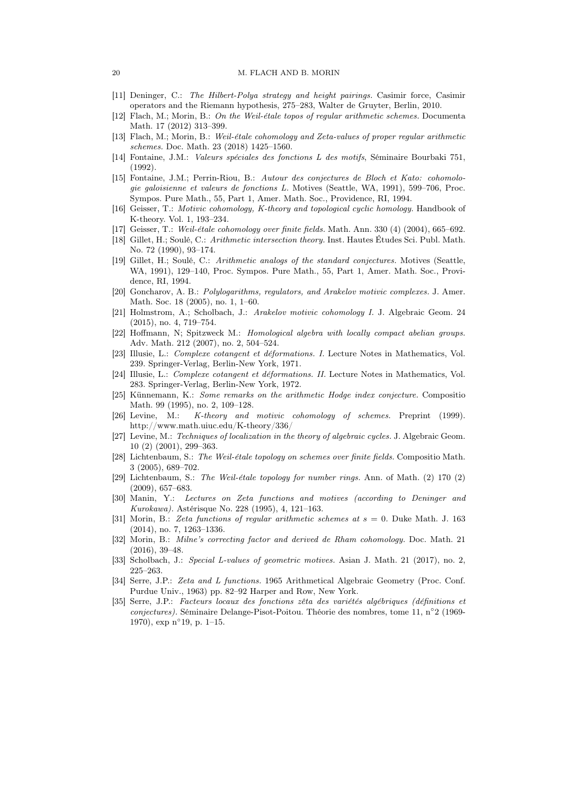#### 20 M. FLACH AND B. MORIN

- [11] Deninger, C.: The Hilbert-Polya strategy and height pairings. Casimir force, Casimir operators and the Riemann hypothesis, 275–283, Walter de Gruyter, Berlin, 2010.
- [12] Flach, M.; Morin, B.: On the Weil-étale topos of regular arithmetic schemes. Documenta Math. 17 (2012) 313–399.
- [13] Flach, M.; Morin, B.: Weil-étale cohomology and Zeta-values of proper regular arithmetic schemes. Doc. Math. 23 (2018) 1425–1560.
- [14] Fontaine, J.M.: Valeurs spéciales des fonctions L des motifs, Séminaire Bourbaki 751, (1992).
- [15] Fontaine, J.M.; Perrin-Riou, B.: Autour des conjectures de Bloch et Kato: cohomologie galoisienne et valeurs de fonctions L. Motives (Seattle, WA, 1991), 599–706, Proc. Sympos. Pure Math., 55, Part 1, Amer. Math. Soc., Providence, RI, 1994.
- [16] Geisser, T.: Motivic cohomology, K-theory and topological cyclic homology. Handbook of K-theory. Vol. 1, 193–234.
- [17] Geisser, T.: Weil-étale cohomology over finite fields. Math. Ann. 330 (4) (2004), 665–692.
- [18] Gillet, H.; Soulé, C.: Arithmetic intersection theory. Inst. Hautes Études Sci. Publ. Math. No. 72 (1990), 93–174.
- [19] Gillet, H.; Soulé, C.: Arithmetic analogs of the standard conjectures. Motives (Seattle, WA, 1991), 129–140, Proc. Sympos. Pure Math., 55, Part 1, Amer. Math. Soc., Providence, RI, 1994.
- [20] Goncharov, A. B.: Polylogarithms, regulators, and Arakelov motivic complexes. J. Amer. Math. Soc. 18 (2005), no. 1, 1–60.
- [21] Holmstrom, A.; Scholbach, J.: Arakelov motivic cohomology I. J. Algebraic Geom. 24 (2015), no. 4, 719–754.
- [22] Hoffmann, N; Spitzweck M.: Homological algebra with locally compact abelian groups. Adv. Math. 212 (2007), no. 2, 504–524.
- [23] Illusie, L.: Complexe cotangent et déformations. I. Lecture Notes in Mathematics, Vol. 239. Springer-Verlag, Berlin-New York, 1971.
- [24] Illusie, L.: Complexe cotangent et déformations. II. Lecture Notes in Mathematics, Vol. 283. Springer-Verlag, Berlin-New York, 1972.
- [25] Künnemann, K.: Some remarks on the arithmetic Hodge index conjecture. Compositio Math. 99 (1995), no. 2, 109–128.
- [26] Levine, M.: K-theory and motivic cohomology of schemes. Preprint (1999). http://www.math.uiuc.edu/K-theory/336/
- [27] Levine, M.: Techniques of localization in the theory of algebraic cycles. J. Algebraic Geom. 10 (2) (2001), 299–363.
- [28] Lichtenbaum, S.: The Weil-étale topology on schemes over finite fields. Compositio Math. 3 (2005), 689–702.
- [29] Lichtenbaum, S.: The Weil-étale topology for number rings. Ann. of Math. (2) 170 (2) (2009), 657–683.
- [30] Manin, Y.: Lectures on Zeta functions and motives (according to Deninger and Kurokawa). Astérisque No. 228 (1995), 4, 121–163.
- [31] Morin, B.: Zeta functions of regular arithmetic schemes at  $s = 0$ . Duke Math. J. 163 (2014), no. 7, 1263–1336.
- [32] Morin, B.: Milne's correcting factor and derived de Rham cohomology. Doc. Math. 21 (2016), 39–48.
- [33] Scholbach, J.: Special L-values of geometric motives. Asian J. Math. 21 (2017), no. 2, 225–263.
- [34] Serre, J.P.: Zeta and L functions. 1965 Arithmetical Algebraic Geometry (Proc. Conf. Purdue Univ., 1963) pp. 82–92 Harper and Row, New York.
- [35] Serre, J.P.: Facteurs locaux des fonctions zêta des variétés algébriques (définitions et conjectures). Séminaire Delange-Pisot-Poitou. Théorie des nombres, tome 11, n◦ 2 (1969- 1970), exp n◦ 19, p. 1–15.